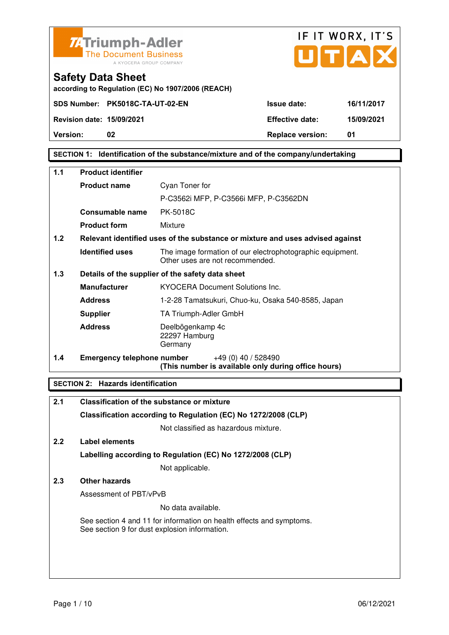



**according to Regulation (EC) No 1907/2006 (REACH)**

## **SECTION 1: Identification of the substance/mixture and of the company/undertaking**

| $1.1$ | <b>Product identifier</b>         |                                                                                              |
|-------|-----------------------------------|----------------------------------------------------------------------------------------------|
|       | <b>Product name</b>               | Cyan Toner for                                                                               |
|       |                                   | P-C3562i MFP, P-C3566i MFP, P-C3562DN                                                        |
|       | Consumable name                   | <b>PK-5018C</b>                                                                              |
|       | <b>Product form</b>               | Mixture                                                                                      |
| 1.2   |                                   | Relevant identified uses of the substance or mixture and uses advised against                |
|       | <b>Identified uses</b>            | The image formation of our electrophotographic equipment.<br>Other uses are not recommended. |
| 1.3   |                                   | Details of the supplier of the safety data sheet                                             |
|       | <b>Manufacturer</b>               | <b>KYOCERA Document Solutions Inc.</b>                                                       |
|       | <b>Address</b>                    | 1-2-28 Tamatsukuri, Chuo-ku, Osaka 540-8585, Japan                                           |
|       | <b>Supplier</b>                   | TA Triumph-Adler GmbH                                                                        |
|       | <b>Address</b>                    | Deelbögenkamp 4c<br>22297 Hamburg<br>Germany                                                 |
| 1.4   | <b>Emergency telephone number</b> | $+49(0)$ 40 / 528490<br>(This number is available only during office hours)                  |

## **SECTION 2: Hazards identification**

| 2.1 | Classification of the substance or mixture                                                                            |
|-----|-----------------------------------------------------------------------------------------------------------------------|
|     | Classification according to Regulation (EC) No 1272/2008 (CLP)                                                        |
|     | Not classified as hazardous mixture.                                                                                  |
| 2.2 | Label elements                                                                                                        |
|     | Labelling according to Regulation (EC) No 1272/2008 (CLP)                                                             |
|     | Not applicable.                                                                                                       |
| 2.3 | <b>Other hazards</b>                                                                                                  |
|     | Assessment of PBT/vPvB                                                                                                |
|     | No data available.                                                                                                    |
|     | See section 4 and 11 for information on health effects and symptoms.<br>See section 9 for dust explosion information. |
|     |                                                                                                                       |
|     |                                                                                                                       |
|     |                                                                                                                       |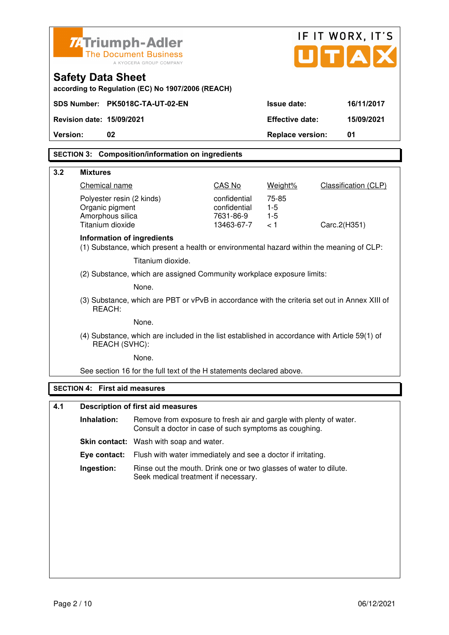| <b>ZATriumph-Adler</b><br>$\mathbf{U}[\mathbf{T} \mathbf{A}]$<br><b>The Document Business</b><br>A KYOCERA GROUP COMPANY<br><b>Safety Data Sheet</b><br>according to Regulation (EC) No 1907/2006 (REACH)<br>SDS Number: PK5018C-TA-UT-02-EN<br><b>Issue date:</b><br>16/11/2017<br><b>Revision date: 15/09/2021</b><br><b>Effective date:</b><br>15/09/2021<br>Version:<br>02<br><b>Replace version:</b><br>01<br><b>SECTION 3: Composition/information on ingredients</b><br>3.2<br><b>Mixtures</b><br>CAS No<br>Chemical name<br>Weight%<br><b>Classification (CLP)</b><br>Polyester resin (2 kinds)<br>confidential<br>75-85<br>Organic pigment<br>confidential<br>$1-5$<br>Amorphous silica<br>7631-86-9<br>$1-5$<br>Titanium dioxide<br>13463-67-7<br>< 1<br>Carc.2(H351)<br>Information of ingredients<br>(1) Substance, which present a health or environmental hazard within the meaning of CLP: |  |  |
|-----------------------------------------------------------------------------------------------------------------------------------------------------------------------------------------------------------------------------------------------------------------------------------------------------------------------------------------------------------------------------------------------------------------------------------------------------------------------------------------------------------------------------------------------------------------------------------------------------------------------------------------------------------------------------------------------------------------------------------------------------------------------------------------------------------------------------------------------------------------------------------------------------------|--|--|
|                                                                                                                                                                                                                                                                                                                                                                                                                                                                                                                                                                                                                                                                                                                                                                                                                                                                                                           |  |  |
|                                                                                                                                                                                                                                                                                                                                                                                                                                                                                                                                                                                                                                                                                                                                                                                                                                                                                                           |  |  |
|                                                                                                                                                                                                                                                                                                                                                                                                                                                                                                                                                                                                                                                                                                                                                                                                                                                                                                           |  |  |
|                                                                                                                                                                                                                                                                                                                                                                                                                                                                                                                                                                                                                                                                                                                                                                                                                                                                                                           |  |  |
|                                                                                                                                                                                                                                                                                                                                                                                                                                                                                                                                                                                                                                                                                                                                                                                                                                                                                                           |  |  |
|                                                                                                                                                                                                                                                                                                                                                                                                                                                                                                                                                                                                                                                                                                                                                                                                                                                                                                           |  |  |
|                                                                                                                                                                                                                                                                                                                                                                                                                                                                                                                                                                                                                                                                                                                                                                                                                                                                                                           |  |  |
|                                                                                                                                                                                                                                                                                                                                                                                                                                                                                                                                                                                                                                                                                                                                                                                                                                                                                                           |  |  |
|                                                                                                                                                                                                                                                                                                                                                                                                                                                                                                                                                                                                                                                                                                                                                                                                                                                                                                           |  |  |
|                                                                                                                                                                                                                                                                                                                                                                                                                                                                                                                                                                                                                                                                                                                                                                                                                                                                                                           |  |  |
|                                                                                                                                                                                                                                                                                                                                                                                                                                                                                                                                                                                                                                                                                                                                                                                                                                                                                                           |  |  |
|                                                                                                                                                                                                                                                                                                                                                                                                                                                                                                                                                                                                                                                                                                                                                                                                                                                                                                           |  |  |
| Titanium dioxide.                                                                                                                                                                                                                                                                                                                                                                                                                                                                                                                                                                                                                                                                                                                                                                                                                                                                                         |  |  |
| (2) Substance, which are assigned Community workplace exposure limits:                                                                                                                                                                                                                                                                                                                                                                                                                                                                                                                                                                                                                                                                                                                                                                                                                                    |  |  |
| None.                                                                                                                                                                                                                                                                                                                                                                                                                                                                                                                                                                                                                                                                                                                                                                                                                                                                                                     |  |  |
| (3) Substance, which are PBT or vPvB in accordance with the criteria set out in Annex XIII of<br>REACH:                                                                                                                                                                                                                                                                                                                                                                                                                                                                                                                                                                                                                                                                                                                                                                                                   |  |  |
| None.                                                                                                                                                                                                                                                                                                                                                                                                                                                                                                                                                                                                                                                                                                                                                                                                                                                                                                     |  |  |
| (4) Substance, which are included in the list established in accordance with Article 59(1) of<br>REACH (SVHC):                                                                                                                                                                                                                                                                                                                                                                                                                                                                                                                                                                                                                                                                                                                                                                                            |  |  |
| None.                                                                                                                                                                                                                                                                                                                                                                                                                                                                                                                                                                                                                                                                                                                                                                                                                                                                                                     |  |  |
| See section 16 for the full text of the H statements declared above.                                                                                                                                                                                                                                                                                                                                                                                                                                                                                                                                                                                                                                                                                                                                                                                                                                      |  |  |
| <b>SECTION 4: First aid measures</b>                                                                                                                                                                                                                                                                                                                                                                                                                                                                                                                                                                                                                                                                                                                                                                                                                                                                      |  |  |
| 4.1<br><b>Description of first aid measures</b>                                                                                                                                                                                                                                                                                                                                                                                                                                                                                                                                                                                                                                                                                                                                                                                                                                                           |  |  |
| Inhalation:<br>Remove from exposure to fresh air and gargle with plenty of water.<br>Consult a doctor in case of such symptoms as coughing.                                                                                                                                                                                                                                                                                                                                                                                                                                                                                                                                                                                                                                                                                                                                                               |  |  |
| Skin contact: Wash with soap and water.                                                                                                                                                                                                                                                                                                                                                                                                                                                                                                                                                                                                                                                                                                                                                                                                                                                                   |  |  |
| Eye contact:<br>Flush with water immediately and see a doctor if irritating.                                                                                                                                                                                                                                                                                                                                                                                                                                                                                                                                                                                                                                                                                                                                                                                                                              |  |  |
| Ingestion:<br>Rinse out the mouth. Drink one or two glasses of water to dilute.                                                                                                                                                                                                                                                                                                                                                                                                                                                                                                                                                                                                                                                                                                                                                                                                                           |  |  |
| Seek medical treatment if necessary.                                                                                                                                                                                                                                                                                                                                                                                                                                                                                                                                                                                                                                                                                                                                                                                                                                                                      |  |  |
|                                                                                                                                                                                                                                                                                                                                                                                                                                                                                                                                                                                                                                                                                                                                                                                                                                                                                                           |  |  |
|                                                                                                                                                                                                                                                                                                                                                                                                                                                                                                                                                                                                                                                                                                                                                                                                                                                                                                           |  |  |
|                                                                                                                                                                                                                                                                                                                                                                                                                                                                                                                                                                                                                                                                                                                                                                                                                                                                                                           |  |  |
|                                                                                                                                                                                                                                                                                                                                                                                                                                                                                                                                                                                                                                                                                                                                                                                                                                                                                                           |  |  |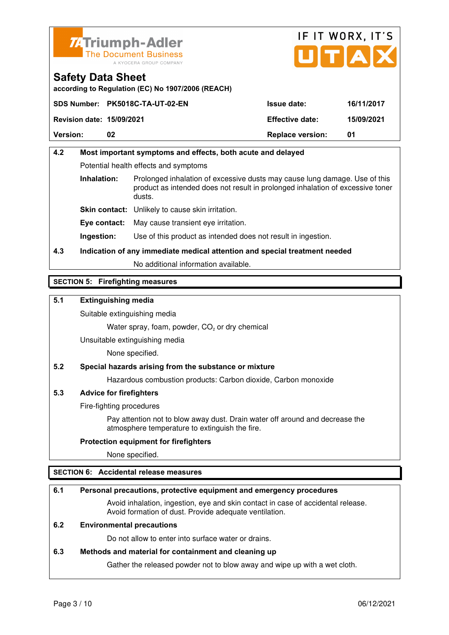



**according to Regulation (EC) No 1907/2006 (REACH)**

|                                  | SDS Number: PK5018C-TA-UT-02-EN | <b>Issue date:</b>      | 16/11/2017 |
|----------------------------------|---------------------------------|-------------------------|------------|
| <b>Revision date: 15/09/2021</b> |                                 | <b>Effective date:</b>  | 15/09/2021 |
| <b>Version:</b>                  | 02                              | <b>Replace version:</b> | 01         |

# **4.2 Most important symptoms and effects, both acute and delayed**  Potential health effects and symptoms **Inhalation:** Prolonged inhalation of excessive dusts may cause lung damage. Use of this product as intended does not result in prolonged inhalation of excessive toner dusts. **Skin contact:** Unlikely to cause skin irritation. **Eye contact:** May cause transient eye irritation.

**Ingestion:** Use of this product as intended does not result in ingestion.

# **4.3 Indication of any immediate medical attention and special treatment needed**

No additional information available.

## **SECTION 5: Firefighting measures**

## **5.1 Extinguishing media**

Suitable extinguishing media

Water spray, foam, powder,  $CO<sub>2</sub>$  or dry chemical

Unsuitable extinguishing media

None specified.

## **5.2 Special hazards arising from the substance or mixture**

Hazardous combustion products: Carbon dioxide, Carbon monoxide

## **5.3 Advice for firefighters**

Fire-fighting procedures

 Pay attention not to blow away dust. Drain water off around and decrease the atmosphere temperature to extinguish the fire.

## **Protection equipment for firefighters**

None specified.

## **SECTION 6: Accidental release measures**

## **6.1 Personal precautions, protective equipment and emergency procedures**

 Avoid inhalation, ingestion, eye and skin contact in case of accidental release. Avoid formation of dust. Provide adequate ventilation.

## **6.2 Environmental precautions**

Do not allow to enter into surface water or drains.

## **6.3 Methods and material for containment and cleaning up**

Gather the released powder not to blow away and wipe up with a wet cloth.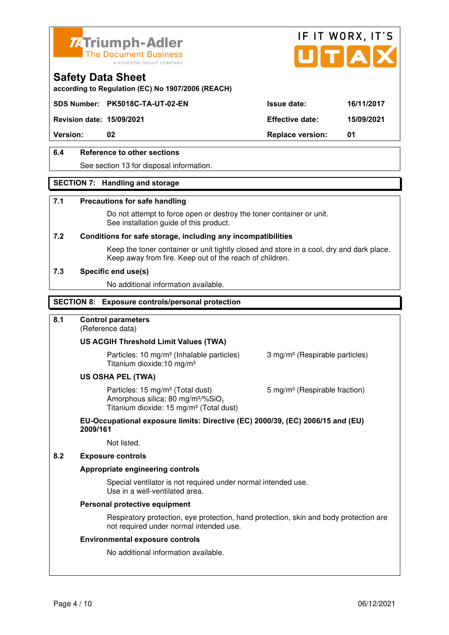



**according to Regulation (EC) No 1907/2006 (REACH)**

## **SDS Number: PK5018C-TA-UT-02-EN Issue date: 16/11/2017**

**Revision date: 15/09/2021 Effective date: 15/09/2021** 

**Version:** 02 **Replace version:** 01

## **6.4 Reference to other sections**

See section 13 for disposal information.

## **SECTION 7: Handling and storage**

#### **7.1 Precautions for safe handling**

 Do not attempt to force open or destroy the toner container or unit. See installation guide of this product.

#### **7.2 Conditions for safe storage, including any incompatibilities**

Keep the toner container or unit tightly closed and store in a cool, dry and dark place. Keep away from fire. Keep out of the reach of children.

#### **7.3 Specific end use(s)**

No additional information available.

#### **SECTION 8: Exposure controls/personal protection**

## **8.1 Control parameters**

(Reference data)

#### **US ACGIH Threshold Limit Values (TWA)**

**Particles: 10 mg/m<sup>3</sup> (Inhalable particles) 3 mg/m<sup>3</sup> (Respirable particles)** Titanium dioxide:10 mg/m³

#### **US OSHA PEL (TWA)**

Particles: 15 mg/m<sup>3</sup> (Total dust) 5 mg/m<sup>3</sup> (Respirable fraction) Amorphous silica:  $80 \text{ mg/m}^3/\% \text{SiO}_2$ Titanium dioxide: 15 mg/m<sup>3</sup> (Total dust)

#### **EU-Occupational exposure limits: Directive (EC) 2000/39, (EC) 2006/15 and (EU) 2009/161**

Not listed.

#### **8.2 Exposure controls**

#### **Appropriate engineering controls**

 Special ventilator is not required under normal intended use. Use in a well-ventilated area.

#### **Personal protective equipment**

 Respiratory protection, eye protection, hand protection, skin and body protection are not required under normal intended use.

#### **Environmental exposure controls**

No additional information available.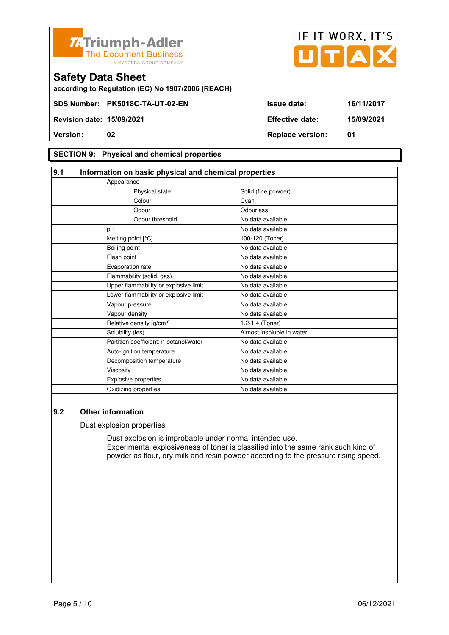



## **Safety Data Sheet according to Regulation (EC) No 1907/2006 (REACH)**

### **SECTION 9: Physical and chemical properties**

| 9.1<br>Information on basic physical and chemical properties |                            |
|--------------------------------------------------------------|----------------------------|
| Appearance                                                   |                            |
| Physical state                                               | Solid (fine powder)        |
| Colour                                                       | Cyan                       |
| Odour                                                        | Odourless                  |
| Odour threshold                                              | No data available.         |
| pH                                                           | No data available.         |
| Melting point [°C]                                           | 100-120 (Toner)            |
| Boiling point                                                | No data available.         |
| Flash point                                                  | No data available.         |
| Evaporation rate                                             | No data available.         |
| Flammability (solid, gas)                                    | No data available.         |
| Upper flammability or explosive limit                        | No data available.         |
| Lower flammability or explosive limit                        | No data available.         |
| Vapour pressure                                              | No data available.         |
| Vapour density                                               | No data available.         |
| Relative density [g/cm <sup>3</sup> ]                        | 1.2-1.4 (Toner)            |
| Solubility (ies)                                             | Almost insoluble in water. |
| Partition coefficient: n-octanol/water                       | No data available.         |
| Auto-ignition temperature                                    | No data available.         |
| Decomposition temperature                                    | No data available.         |
| Viscosity                                                    | No data available.         |
| <b>Explosive properties</b>                                  | No data available.         |
| Oxidizing properties                                         | No data available.         |

## **9.2 Other information**

Dust explosion properties

 Dust explosion is improbable under normal intended use. Experimental explosiveness of toner is classified into the same rank such kind of powder as flour, dry milk and resin powder according to the pressure rising speed.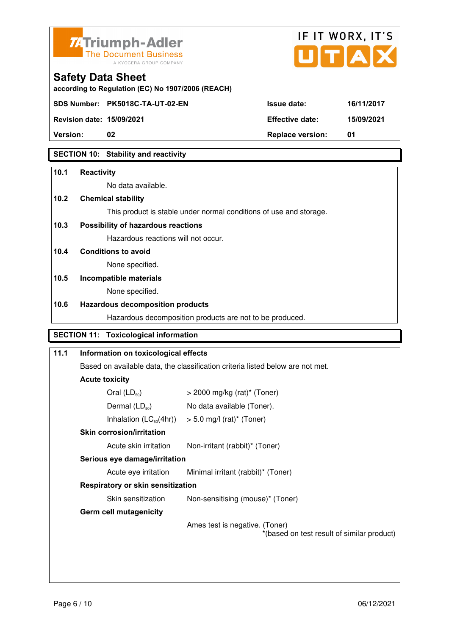



**Version:** 02 **Replace version:** 01

## **SECTION 10: Stability and reactivity**

#### **10.1 Reactivity**

No data available.

## **10.2 Chemical stability**

This product is stable under normal conditions of use and storage.

## **10.3 Possibility of hazardous reactions**

Hazardous reactions will not occur.

## **10.4 Conditions to avoid**

None specified.

#### **10.5 Incompatible materials**

None specified.

#### **10.6 Hazardous decomposition products**

Hazardous decomposition products are not to be produced.

# **SECTION 11: Toxicological information**

| 11.1 | Information on toxicological effects                                           |                                                                              |
|------|--------------------------------------------------------------------------------|------------------------------------------------------------------------------|
|      | Based on available data, the classification criteria listed below are not met. |                                                                              |
|      | <b>Acute toxicity</b>                                                          |                                                                              |
|      | Oral $(LD_{50})$                                                               | $>$ 2000 mg/kg (rat)* (Toner)                                                |
|      | Dermal $(LD_{50})$                                                             | No data available (Toner).                                                   |
|      |                                                                                | Inhalation $(LC_{50}(4hr))$ > 5.0 mg/l (rat) <sup>*</sup> (Toner)            |
|      | <b>Skin corrosion/irritation</b>                                               |                                                                              |
|      | Acute skin irritation                                                          | Non-irritant (rabbit)* (Toner)                                               |
|      | Serious eye damage/irritation                                                  |                                                                              |
|      | Acute eye irritation                                                           | Minimal irritant (rabbit)* (Toner)                                           |
|      | Respiratory or skin sensitization                                              |                                                                              |
|      | Skin sensitization                                                             | Non-sensitising (mouse)* (Toner)                                             |
|      | <b>Germ cell mutagenicity</b>                                                  |                                                                              |
|      |                                                                                | Ames test is negative. (Toner)<br>*(based on test result of similar product) |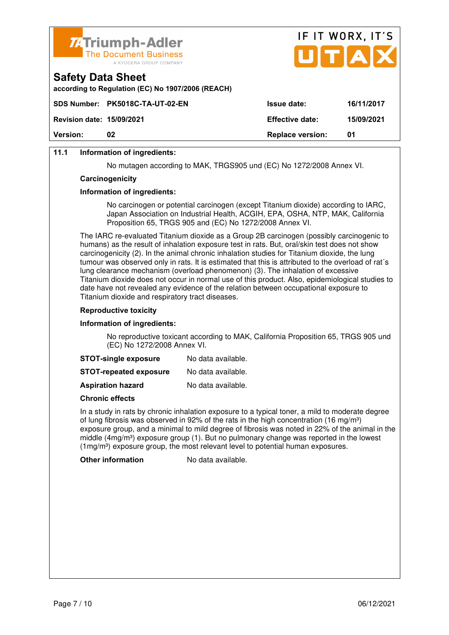

| <b>Version:</b>                                                                    | 02                                                | <b>Replace version:</b> | 01         |
|------------------------------------------------------------------------------------|---------------------------------------------------|-------------------------|------------|
| <b>Revision date: 15/09/2021</b>                                                   |                                                   | <b>Effective date:</b>  | 15/09/2021 |
|                                                                                    | SDS Number: PK5018C-TA-UT-02-EN                   | <b>Issue date:</b>      | 16/11/2017 |
| <b>Safety Data Sheet</b>                                                           | according to Regulation (EC) No 1907/2006 (REACH) |                         |            |
| <b>74 Triumph-Adler</b><br><b>The Document Business</b><br>A KYOCERA GROUP COMPANY |                                                   |                         | UTAX       |

IF IT WORX IT'S

## **11.1 Information of ingredients:**

No mutagen according to MAK, TRGS905 und (EC) No 1272/2008 Annex VI.

#### **Carcinogenicity**

#### **Information of ingredients:**

 No carcinogen or potential carcinogen (except Titanium dioxide) according to IARC, Japan Association on Industrial Health, ACGIH, EPA, OSHA, NTP, MAK, California Proposition 65, TRGS 905 and (EC) No 1272/2008 Annex VI.

 The IARC re-evaluated Titanium dioxide as a Group 2B carcinogen (possibly carcinogenic to humans) as the result of inhalation exposure test in rats. But, oral/skin test does not show carcinogenicity (2). In the animal chronic inhalation studies for Titanium dioxide, the lung tumour was observed only in rats. It is estimated that this is attributed to the overload of rat´s lung clearance mechanism (overload phenomenon) (3). The inhalation of excessive Titanium dioxide does not occur in normal use of this product. Also, epidemiological studies to date have not revealed any evidence of the relation between occupational exposure to Titanium dioxide and respiratory tract diseases.

#### **Reproductive toxicity**

#### **Information of ingredients:**

 No reproductive toxicant according to MAK, California Proposition 65, TRGS 905 und (EC) No 1272/2008 Annex VI.

| <b>STOT-single exposure</b> | No data available. |
|-----------------------------|--------------------|
|-----------------------------|--------------------|

**STOT-repeated exposure** No data available.

**Aspiration hazard** No data available.

#### **Chronic effects**

 In a study in rats by chronic inhalation exposure to a typical toner, a mild to moderate degree of lung fibrosis was observed in 92% of the rats in the high concentration (16 mg/m<sup>3</sup>) exposure group, and a minimal to mild degree of fibrosis was noted in 22% of the animal in the middle  $(4mg/m<sup>3</sup>)$  exposure group (1). But no pulmonary change was reported in the lowest  $(1ma/m<sup>3</sup>)$  exposure group, the most relevant level to potential human exposures.

**Other information** No data available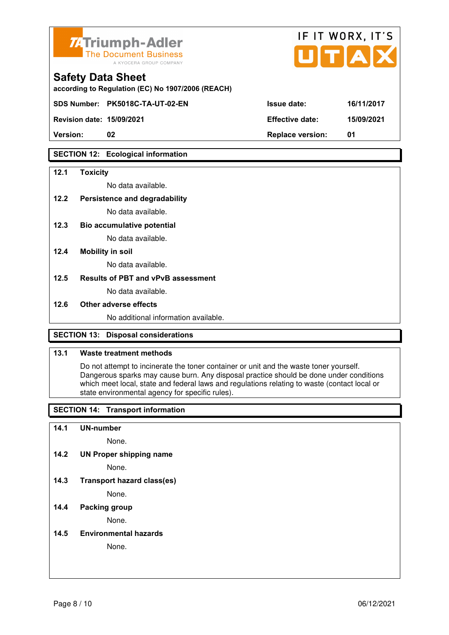

| <b>74 Triumph-Adler</b><br>The Document Business<br>A KYOCERA GROUP COMPANY   |                        | IF IT WORX, IT'S<br>UTAX |
|-------------------------------------------------------------------------------|------------------------|--------------------------|
| <b>Safety Data Sheet</b><br>according to Regulation (EC) No 1907/2006 (REACH) |                        |                          |
| SDS Number: PK5018C-TA-UT-02-EN                                               | <b>Issue date:</b>     | 16/11/2017               |
| <b>Revision date: 15/09/2021</b>                                              | <b>Effective date:</b> | 15/09/2021               |

**Version: 02 Replace version: 01** 

## **SECTION 12: Ecological information**

#### **12.1 Toxicity**

No data available.

#### **12.2 Persistence and degradability**

No data available.

**12.3 Bio accumulative potential** 

No data available.

#### **12.4 Mobility in soil**

No data available.

## **12.5 Results of PBT and vPvB assessment**

No data available.

#### **12.6 Other adverse effects**

No additional information available.

## **SECTION 13: Disposal considerations**

## **13.1 Waste treatment methods**

 Do not attempt to incinerate the toner container or unit and the waste toner yourself. Dangerous sparks may cause burn. Any disposal practice should be done under conditions which meet local, state and federal laws and regulations relating to waste (contact local or state environmental agency for specific rules).

## **SECTION 14: Transport information**

#### **14.1 UN-number**

None.

**14.2 UN Proper shipping name** 

None.

**14.3 Transport hazard class(es)** 

None.

## **14.4 Packing group**

None.

#### **14.5 Environmental hazards**

None.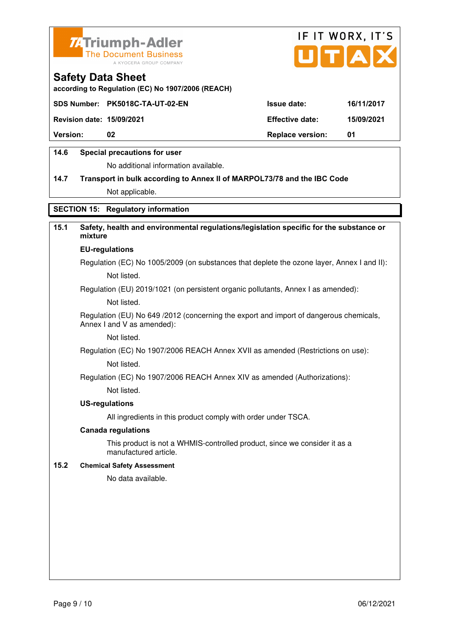



**according to Regulation (EC) No 1907/2006 (REACH)**

|                                  | SDS Number: PK5018C-TA-UT-02-EN | <b>Issue date:</b>      | 16/11/2017 |
|----------------------------------|---------------------------------|-------------------------|------------|
| <b>Revision date: 15/09/2021</b> |                                 | <b>Effective date:</b>  | 15/09/2021 |
| <b>Version:</b>                  | 02                              | <b>Replace version:</b> | -01        |
|                                  |                                 |                         |            |

## **14.6 Special precautions for user**

No additional information available.

# **14.7 Transport in bulk according to Annex II of MARPOL73/78 and the IBC Code** Not applicable.

## **SECTION 15: Regulatory information**

## **15.1 Safety, health and environmental regulations/legislation specific for the substance or mixture**

#### **EU-regulations**

Regulation (EC) No 1005/2009 (on substances that deplete the ozone layer, Annex I and II): Not listed.

Regulation (EU) 2019/1021 (on persistent organic pollutants, Annex I as amended):

Not listed.

 Regulation (EU) No 649 /2012 (concerning the export and import of dangerous chemicals, Annex I and V as amended):

Not listed.

 Regulation (EC) No 1907/2006 REACH Annex XVII as amended (Restrictions on use): Not listed.

Regulation (EC) No 1907/2006 REACH Annex XIV as amended (Authorizations):

Not listed.

#### **US-regulations**

All ingredients in this product comply with order under TSCA.

#### **Canada regulations**

 This product is not a WHMIS-controlled product, since we consider it as a manufactured article.

#### **15.2 Chemical Safety Assessment**

No data available.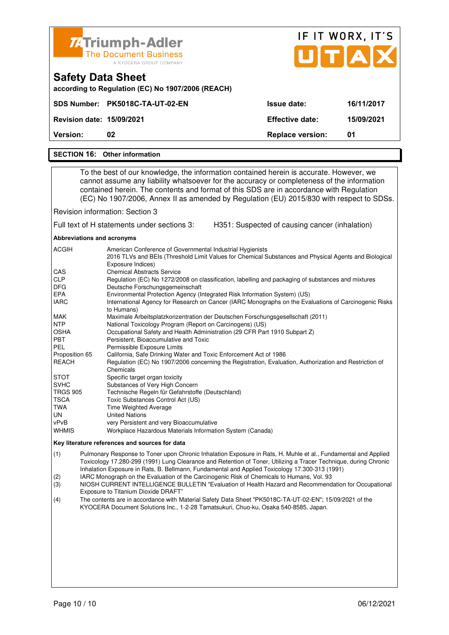| <b>74 Triumph-Adler</b><br><b>The Document Business</b><br>A KYOCERA GROUP COMPANY                                                                                                                                                                                               |                         | IF IT WORX, IT'S<br>UTAX |
|----------------------------------------------------------------------------------------------------------------------------------------------------------------------------------------------------------------------------------------------------------------------------------|-------------------------|--------------------------|
| <b>Safety Data Sheet</b><br>according to Regulation (EC) No 1907/2006 (REACH)                                                                                                                                                                                                    |                         |                          |
| <b>PK5018C-TA-UT-02-EN</b><br><b>SDS Number:</b>                                                                                                                                                                                                                                 | <b>Issue date:</b>      | 16/11/2017               |
| <b>Revision date: 15/09/2021</b>                                                                                                                                                                                                                                                 | <b>Effective date:</b>  | 15/09/2021               |
| Version:<br>02                                                                                                                                                                                                                                                                   | <b>Replace version:</b> | 01                       |
|                                                                                                                                                                                                                                                                                  |                         |                          |
| <b>SECTION 16: Other information</b>                                                                                                                                                                                                                                             |                         |                          |
| To the best of our knowledge, the information contained herein is accurate. However, we<br>cannot assume any liability whatsoever for the accuracy or completeness of the information<br>contained herein. The contents and format of this SDS are in accordance with Regulation |                         |                          |

(EC) No 1907/2006, Annex II as amended by Regulation (EU) 2015/830 with respect to SDSs.

Revision information: Section 3

Full text of H statements under sections 3: H351: Suspected of causing cancer (inhalation)

**Abbreviations and acronyms** 

| <b>ACGIH</b>    | American Conference of Governmental Industrial Hygienists<br>2016 TLVs and BEIs (Threshold Limit Values for Chemical Substances and Physical Agents and Biological |
|-----------------|--------------------------------------------------------------------------------------------------------------------------------------------------------------------|
|                 | Exposure Indices)                                                                                                                                                  |
| <b>CAS</b>      | <b>Chemical Abstracts Service</b>                                                                                                                                  |
| <b>CLP</b>      | Regulation (EC) No 1272/2008 on classification, labelling and packaging of substances and mixtures                                                                 |
| <b>DFG</b>      | Deutsche Forschungsgemeinschaft                                                                                                                                    |
| <b>EPA</b>      | Environmental Protection Agency (Integrated Risk Information System) (US)                                                                                          |
| <b>IARC</b>     | International Agency for Research on Cancer (IARC Monographs on the Evaluations of Carcinogenic Risks<br>to Humans)                                                |
| MAK             | Maximale Arbeitsplatzkonzentration der Deutschen Forschungsgesellschaft (2011)                                                                                     |
| <b>NTP</b>      | National Toxicology Program (Report on Carcinogens) (US)                                                                                                           |
| <b>OSHA</b>     | Occupational Safety and Health Administration (29 CFR Part 1910 Subpart Z)                                                                                         |
| <b>PBT</b>      | Persistent, Bioaccumulative and Toxic                                                                                                                              |
| <b>PEL</b>      | Permissible Exposure Limits                                                                                                                                        |
| Proposition 65  | California, Safe Drinking Water and Toxic Enforcement Act of 1986                                                                                                  |
| <b>REACH</b>    | Regulation (EC) No 1907/2006 concerning the Registration, Evaluation, Authorization and Restriction of                                                             |
|                 | Chemicals                                                                                                                                                          |
| <b>STOT</b>     | Specific target organ toxicity                                                                                                                                     |
| <b>SVHC</b>     | Substances of Very High Concern                                                                                                                                    |
| <b>TRGS 905</b> | Technische Regeln für Gefahrstoffe (Deutschland)                                                                                                                   |
| <b>TSCA</b>     | Toxic Substances Control Act (US)                                                                                                                                  |
| TWA             | <b>Time Weighted Average</b>                                                                                                                                       |
| UN.             | <b>United Nations</b>                                                                                                                                              |
| vPvB            | very Persistent and very Bioaccumulative                                                                                                                           |
| <b>WHMIS</b>    | Workplace Hazardous Materials Information System (Canada)                                                                                                          |

#### **Key literature references and sources for data**

(1) Pulmonary Response to Toner upon Chronic Inhalation Exposure in Rats, H. Muhle et al., Fundamental and Applied Toxicology 17.280-299 (1991) Lung Clearance and Retention of Toner, Utilizing a Tracer Technique, during Chronic Inhalation Exposure in Rats, B. Bellmann, Fundamental and Applied Toxicology 17.300-313 (1991)

(2) IARC Monograph on the Evaluation of the Carcinogenic Risk of Chemicals to Humans, Vol. 93

(3) NIOSH CURRENT INTELLIGENCE BULLETIN "Evaluation of Health Hazard and Recommendation for Occupational Exposure to Titanium Dioxide DRAFT"

(4) The contents are in accordance with Material Safety Data Sheet "PK5018C-TA-UT-02-EN"; 15/09/2021 of the KYOCERA Document Solutions Inc., 1-2-28 Tamatsukuri, Chuo-ku, Osaka 540-8585, Japan.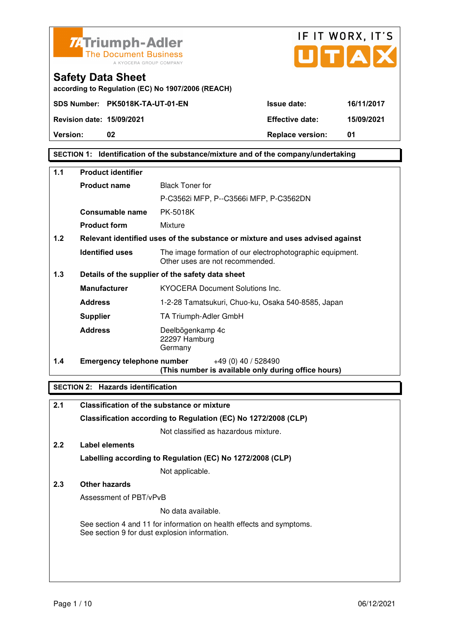



**according to Regulation (EC) No 1907/2006 (REACH)**

## **SECTION 1: Identification of the substance/mixture and of the company/undertaking**

| 1.1 | <b>Product identifier</b>         |                                                                                              |  |  |
|-----|-----------------------------------|----------------------------------------------------------------------------------------------|--|--|
|     | <b>Product name</b>               | <b>Black Toner for</b>                                                                       |  |  |
|     |                                   | P-C3562i MFP, P--C3566i MFP, P-C3562DN                                                       |  |  |
|     | Consumable name                   | PK-5018K                                                                                     |  |  |
|     | <b>Product form</b>               | Mixture                                                                                      |  |  |
| 1.2 |                                   | Relevant identified uses of the substance or mixture and uses advised against                |  |  |
|     | <b>Identified uses</b>            | The image formation of our electrophotographic equipment.<br>Other uses are not recommended. |  |  |
| 1.3 |                                   | Details of the supplier of the safety data sheet                                             |  |  |
|     | <b>Manufacturer</b>               | <b>KYOCERA Document Solutions Inc.</b>                                                       |  |  |
|     | <b>Address</b>                    | 1-2-28 Tamatsukuri, Chuo-ku, Osaka 540-8585, Japan                                           |  |  |
|     | <b>Supplier</b>                   | TA Triumph-Adler GmbH                                                                        |  |  |
|     | <b>Address</b>                    | Deelbögenkamp 4c<br>22297 Hamburg<br>Germany                                                 |  |  |
| 1.4 | <b>Emergency telephone number</b> | $+49(0)$ 40 / 528490<br>(This number is available only during office hours)                  |  |  |

## **SECTION 2: Hazards identification**

| 2.1 | <b>Classification of the substance or mixture</b>                                                                     |
|-----|-----------------------------------------------------------------------------------------------------------------------|
|     | Classification according to Regulation (EC) No 1272/2008 (CLP)                                                        |
|     | Not classified as hazardous mixture.                                                                                  |
| 2.2 | Label elements                                                                                                        |
|     | Labelling according to Regulation (EC) No 1272/2008 (CLP)                                                             |
|     | Not applicable.                                                                                                       |
| 2.3 | Other hazards                                                                                                         |
|     | Assessment of PBT/vPvB                                                                                                |
|     | No data available.                                                                                                    |
|     | See section 4 and 11 for information on health effects and symptoms.<br>See section 9 for dust explosion information. |
|     |                                                                                                                       |
|     |                                                                                                                       |
|     |                                                                                                                       |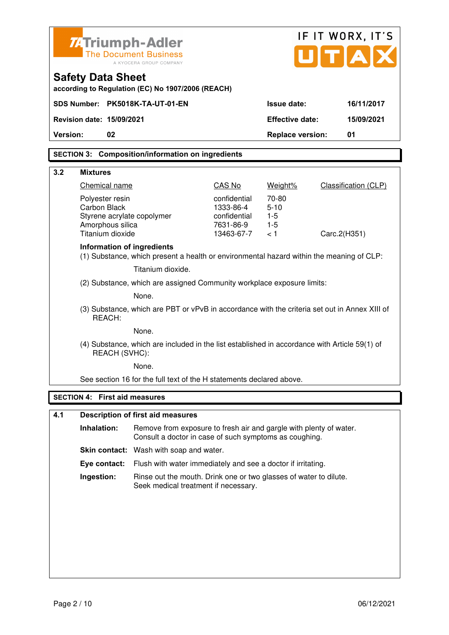|          | IF IT WORX, IT'S<br>Z-Triumph-Adler                                                                     |                                                                                                                              |                                                              |                         |                             |  |
|----------|---------------------------------------------------------------------------------------------------------|------------------------------------------------------------------------------------------------------------------------------|--------------------------------------------------------------|-------------------------|-----------------------------|--|
|          | <b>The Document Business</b><br>A KYOCERA GROUP COMPANY                                                 |                                                                                                                              |                                                              |                         | UTA                         |  |
|          | <b>Safety Data Sheet</b><br>according to Regulation (EC) No 1907/2006 (REACH)                           |                                                                                                                              |                                                              |                         |                             |  |
|          |                                                                                                         | SDS Number: PK5018K-TA-UT-01-EN                                                                                              |                                                              | <b>Issue date:</b>      | 16/11/2017                  |  |
|          | <b>Revision date: 15/09/2021</b>                                                                        |                                                                                                                              |                                                              | <b>Effective date:</b>  | 15/09/2021                  |  |
| Version: | 02                                                                                                      |                                                                                                                              |                                                              | <b>Replace version:</b> | 01                          |  |
|          |                                                                                                         | <b>SECTION 3: Composition/information on ingredients</b>                                                                     |                                                              |                         |                             |  |
| 3.2      | <b>Mixtures</b>                                                                                         |                                                                                                                              |                                                              |                         |                             |  |
|          | Chemical name                                                                                           |                                                                                                                              | CAS No                                                       | Weight%                 | <b>Classification (CLP)</b> |  |
|          | Polyester resin                                                                                         |                                                                                                                              | confidential                                                 | 70-80                   |                             |  |
|          | Carbon Black<br>Styrene acrylate copolymer                                                              |                                                                                                                              | 1333-86-4<br>confidential                                    | $5 - 10$<br>$1-5$       |                             |  |
|          | Amorphous silica                                                                                        |                                                                                                                              | 7631-86-9                                                    | $1-5$                   |                             |  |
|          | Titanium dioxide                                                                                        |                                                                                                                              | 13463-67-7                                                   | < 1                     | Carc.2(H351)                |  |
|          | <b>Information of ingredients</b>                                                                       | (1) Substance, which present a health or environmental hazard within the meaning of CLP:                                     |                                                              |                         |                             |  |
|          |                                                                                                         | Titanium dioxide.                                                                                                            |                                                              |                         |                             |  |
|          |                                                                                                         | (2) Substance, which are assigned Community workplace exposure limits:                                                       |                                                              |                         |                             |  |
|          |                                                                                                         | None.                                                                                                                        |                                                              |                         |                             |  |
|          | (3) Substance, which are PBT or vPvB in accordance with the criteria set out in Annex XIII of<br>REACH: |                                                                                                                              |                                                              |                         |                             |  |
|          |                                                                                                         | None.                                                                                                                        |                                                              |                         |                             |  |
|          | REACH (SVHC):                                                                                           | (4) Substance, which are included in the list established in accordance with Article 59(1) of                                |                                                              |                         |                             |  |
|          |                                                                                                         | None.                                                                                                                        |                                                              |                         |                             |  |
|          |                                                                                                         | See section 16 for the full text of the H statements declared above.                                                         |                                                              |                         |                             |  |
|          | <b>SECTION 4: First aid measures</b>                                                                    |                                                                                                                              |                                                              |                         |                             |  |
| 4.1      |                                                                                                         | <b>Description of first aid measures</b>                                                                                     |                                                              |                         |                             |  |
|          | Inhalation:                                                                                             | Remove from exposure to fresh air and gargle with plenty of water.<br>Consult a doctor in case of such symptoms as coughing. |                                                              |                         |                             |  |
|          |                                                                                                         |                                                                                                                              | Skin contact: Wash with soap and water.                      |                         |                             |  |
|          | Eye contact:                                                                                            |                                                                                                                              | Flush with water immediately and see a doctor if irritating. |                         |                             |  |
|          | Ingestion:                                                                                              | Rinse out the mouth. Drink one or two glasses of water to dilute.<br>Seek medical treatment if necessary.                    |                                                              |                         |                             |  |
|          |                                                                                                         |                                                                                                                              |                                                              |                         |                             |  |
|          |                                                                                                         |                                                                                                                              |                                                              |                         |                             |  |
|          |                                                                                                         |                                                                                                                              |                                                              |                         |                             |  |
|          |                                                                                                         |                                                                                                                              |                                                              |                         |                             |  |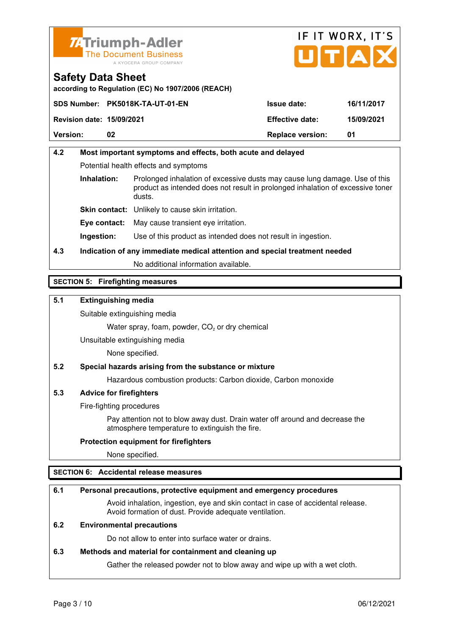



**according to Regulation (EC) No 1907/2006 (REACH)**

|    | <b>Issue date:</b>                                                  | 16/11/2017 |
|----|---------------------------------------------------------------------|------------|
|    | <b>Effective date:</b>                                              | 15/09/2021 |
| 02 | <b>Replace version:</b>                                             | 01         |
|    | SDS Number: PK5018K-TA-UT-01-EN<br><b>Revision date: 15/09/2021</b> |            |

# **4.2 Most important symptoms and effects, both acute and delayed**  Potential health effects and symptoms **Inhalation:** Prolonged inhalation of excessive dusts may cause lung damage. Use of this product as intended does not result in prolonged inhalation of excessive toner dusts. **Skin contact:** Unlikely to cause skin irritation. **Eye contact:** May cause transient eye irritation.

**Ingestion:** Use of this product as intended does not result in ingestion.

# **4.3 Indication of any immediate medical attention and special treatment needed**

No additional information available.

## **SECTION 5: Firefighting measures**

## **5.1 Extinguishing media**

Suitable extinguishing media

Water spray, foam, powder,  $CO<sub>2</sub>$  or dry chemical

Unsuitable extinguishing media

None specified.

## **5.2 Special hazards arising from the substance or mixture**

Hazardous combustion products: Carbon dioxide, Carbon monoxide

## **5.3 Advice for firefighters**

Fire-fighting procedures

 Pay attention not to blow away dust. Drain water off around and decrease the atmosphere temperature to extinguish the fire.

## **Protection equipment for firefighters**

None specified.

## **SECTION 6: Accidental release measures**

## **6.1 Personal precautions, protective equipment and emergency procedures**

 Avoid inhalation, ingestion, eye and skin contact in case of accidental release. Avoid formation of dust. Provide adequate ventilation.

## **6.2 Environmental precautions**

Do not allow to enter into surface water or drains.

## **6.3 Methods and material for containment and cleaning up**

Gather the released powder not to blow away and wipe up with a wet cloth.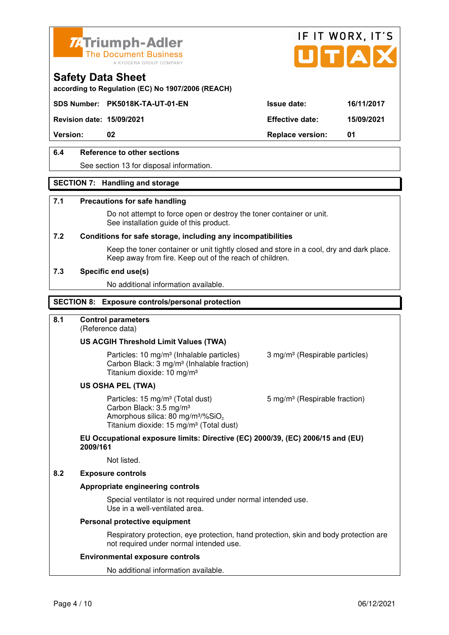



**according to Regulation (EC) No 1907/2006 (REACH)**

## **SDS Number: PK5018K-TA-UT-01-EN Issue date: 16/11/2017**

**Revision date: 15/09/2021 Effective date: 15/09/2021** 

**Version:** 02 **Replace version:** 01

## **6.4 Reference to other sections**

See section 13 for disposal information.

## **SECTION 7: Handling and storage**

#### **7.1 Precautions for safe handling**

 Do not attempt to force open or destroy the toner container or unit. See installation guide of this product.

#### **7.2 Conditions for safe storage, including any incompatibilities**

Keep the toner container or unit tightly closed and store in a cool, dry and dark place. Keep away from fire. Keep out of the reach of children.

#### **7.3 Specific end use(s)**

No additional information available.

#### **SECTION 8: Exposure controls/personal protection**

## **8.1 Control parameters**

(Reference data)

## **US ACGIH Threshold Limit Values (TWA)**

Particles: 10 mg/m<sup>3</sup> (Inhalable particles) 3 mg/m<sup>3</sup> (Respirable particles) Carbon Black: 3 mg/m³ (Inhalable fraction) Titanium dioxide: 10 mg/m³

### **US OSHA PEL (TWA)**

Particles: 15 mg/m<sup>3</sup> (Total dust) 5 mg/m<sup>3</sup> (Respirable fraction) Carbon Black: 3.5 mg/m³ Amorphous silica:  $80 \text{ mg/m}^3/\% \text{SiO}_2$ Titanium dioxide: 15 mg/m<sup>3</sup> (Total dust)

# **EU Occupational exposure limits: Directive (EC) 2000/39, (EC) 2006/15 and (EU) 2009/161**

Not listed.

#### **8.2 Exposure controls**

## **Appropriate engineering controls**

 Special ventilator is not required under normal intended use. Use in a well-ventilated area.

#### **Personal protective equipment**

 Respiratory protection, eye protection, hand protection, skin and body protection are not required under normal intended use.

#### **Environmental exposure controls**

No additional information available.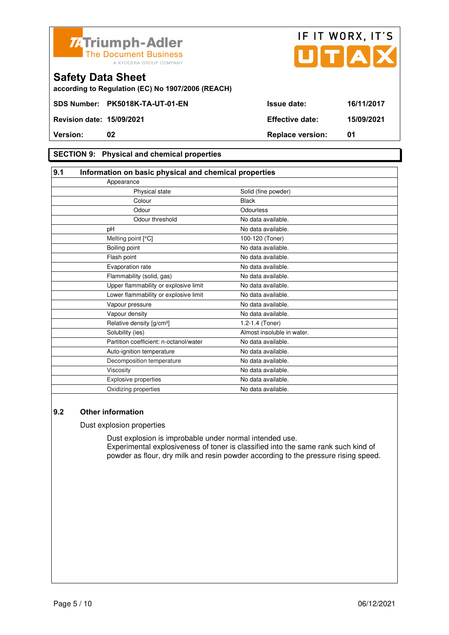



# **SECTION 9: Physical and chemical properties**

| 9.1 | Information on basic physical and chemical properties |                            |  |
|-----|-------------------------------------------------------|----------------------------|--|
|     | Appearance                                            |                            |  |
|     | Physical state                                        | Solid (fine powder)        |  |
|     | Colour                                                | <b>Black</b>               |  |
|     | Odour                                                 | Odourless                  |  |
|     | Odour threshold                                       | No data available.         |  |
|     | pH                                                    | No data available.         |  |
|     | Melting point [°C]                                    | 100-120 (Toner)            |  |
|     | Boiling point                                         | No data available.         |  |
|     | Flash point                                           | No data available.         |  |
|     | Evaporation rate                                      | No data available.         |  |
|     | Flammability (solid, gas)                             | No data available.         |  |
|     | Upper flammability or explosive limit                 | No data available.         |  |
|     | Lower flammability or explosive limit                 | No data available.         |  |
|     | Vapour pressure                                       | No data available.         |  |
|     | Vapour density                                        | No data available.         |  |
|     | Relative density [g/cm <sup>3</sup> ]                 | 1.2-1.4 (Toner)            |  |
|     | Solubility (ies)                                      | Almost insoluble in water. |  |
|     | Partition coefficient: n-octanol/water                | No data available.         |  |
|     | Auto-ignition temperature                             | No data available.         |  |
|     | Decomposition temperature                             | No data available.         |  |
|     | Viscosity                                             | No data available.         |  |
|     | <b>Explosive properties</b>                           | No data available.         |  |
|     | Oxidizing properties                                  | No data available.         |  |

## **9.2 Other information**

Dust explosion properties

 Dust explosion is improbable under normal intended use. Experimental explosiveness of toner is classified into the same rank such kind of powder as flour, dry milk and resin powder according to the pressure rising speed.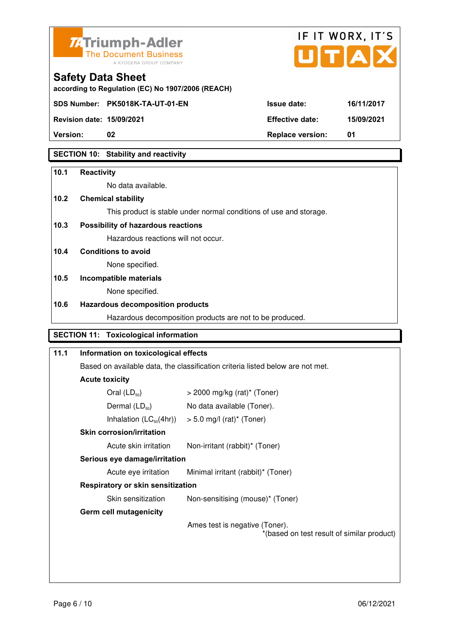



**Version:** 02 **Replace version:** 01

## **SECTION 10: Stability and reactivity**

#### **10.1 Reactivity**

No data available.

## **10.2 Chemical stability**

This product is stable under normal conditions of use and storage.

## **10.3 Possibility of hazardous reactions**

Hazardous reactions will not occur.

## **10.4 Conditions to avoid**

None specified.

#### **10.5 Incompatible materials**

None specified.

## **10.6 Hazardous decomposition products**

Hazardous decomposition products are not to be produced.

# **SECTION 11: Toxicological information**

| 11.1               | Information on toxicological effects                                           |                                                                              |  |
|--------------------|--------------------------------------------------------------------------------|------------------------------------------------------------------------------|--|
|                    | Based on available data, the classification criteria listed below are not met. |                                                                              |  |
|                    | <b>Acute toxicity</b>                                                          |                                                                              |  |
|                    | Oral $(LD_{50})$                                                               | $>$ 2000 mg/kg (rat)* (Toner)                                                |  |
|                    | Dermal $(LD_{50})$                                                             | No data available (Toner).                                                   |  |
|                    |                                                                                | Inhalation $(LC_{50}(4hr))$ > 5.0 mg/l (rat) <sup>*</sup> (Toner)            |  |
|                    | <b>Skin corrosion/irritation</b>                                               |                                                                              |  |
|                    | Acute skin irritation                                                          | Non-irritant (rabbit)* (Toner)                                               |  |
|                    | Serious eye damage/irritation                                                  |                                                                              |  |
|                    | Acute eye irritation                                                           | Minimal irritant (rabbit)* (Toner)                                           |  |
|                    | <b>Respiratory or skin sensitization</b>                                       |                                                                              |  |
| Skin sensitization |                                                                                | Non-sensitising (mouse)* (Toner)                                             |  |
|                    | <b>Germ cell mutagenicity</b>                                                  |                                                                              |  |
|                    |                                                                                | Ames test is negative (Toner).<br>*(based on test result of similar product) |  |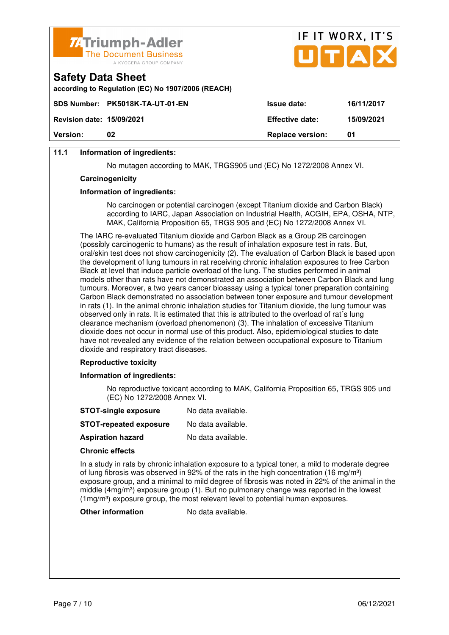

|                                                                               | UTAX                          |
|-------------------------------------------------------------------------------|-------------------------------|
| <b>Safety Data Sheet</b><br>according to Regulation (EC) No 1907/2006 (REACH) |                               |
| SDS Number: PK5018K-TA-UT-01-EN<br><b>Issue date:</b>                         | 16/11/2017                    |
| <b>Effective date:</b><br><b>Revision date: 15/09/2021</b>                    | 15/09/2021                    |
| Version:<br>02                                                                | <b>Replace version:</b><br>01 |

IF IT WORY IT'S

## **11.1 Information of ingredients:**

No mutagen according to MAK, TRGS905 und (EC) No 1272/2008 Annex VI.

#### **Carcinogenicity**

#### **Information of ingredients:**

 No carcinogen or potential carcinogen (except Titanium dioxide and Carbon Black) according to IARC, Japan Association on Industrial Health, ACGIH, EPA, OSHA, NTP, MAK, California Proposition 65, TRGS 905 and (EC) No 1272/2008 Annex VI.

 The IARC re-evaluated Titanium dioxide and Carbon Black as a Group 2B carcinogen (possibly carcinogenic to humans) as the result of inhalation exposure test in rats. But, oral/skin test does not show carcinogenicity (2). The evaluation of Carbon Black is based upon the development of lung tumours in rat receiving chronic inhalation exposures to free Carbon Black at level that induce particle overload of the lung. The studies performed in animal models other than rats have not demonstrated an association between Carbon Black and lung tumours. Moreover, a two years cancer bioassay using a typical toner preparation containing Carbon Black demonstrated no association between toner exposure and tumour development in rats (1). In the animal chronic inhalation studies for Titanium dioxide, the lung tumour was observed only in rats. It is estimated that this is attributed to the overload of rat´s lung clearance mechanism (overload phenomenon) (3). The inhalation of excessive Titanium dioxide does not occur in normal use of this product. Also, epidemiological studies to date have not revealed any evidence of the relation between occupational exposure to Titanium dioxide and respiratory tract diseases.

#### **Reproductive toxicity**

#### **Information of ingredients:**

 No reproductive toxicant according to MAK, California Proposition 65, TRGS 905 und (EC) No 1272/2008 Annex VI.

| No data available. |
|--------------------|
|                    |

**Aspiration hazard** No data available.

#### **Chronic effects**

 In a study in rats by chronic inhalation exposure to a typical toner, a mild to moderate degree of lung fibrosis was observed in 92% of the rats in the high concentration (16 mg/m<sup>3</sup>) exposure group, and a minimal to mild degree of fibrosis was noted in 22% of the animal in the middle  $(4mg/m<sup>3</sup>)$  exposure group (1). But no pulmonary change was reported in the lowest (1mg/m<sup>3</sup>) exposure group, the most relevant level to potential human exposures.

**Other information** No data available.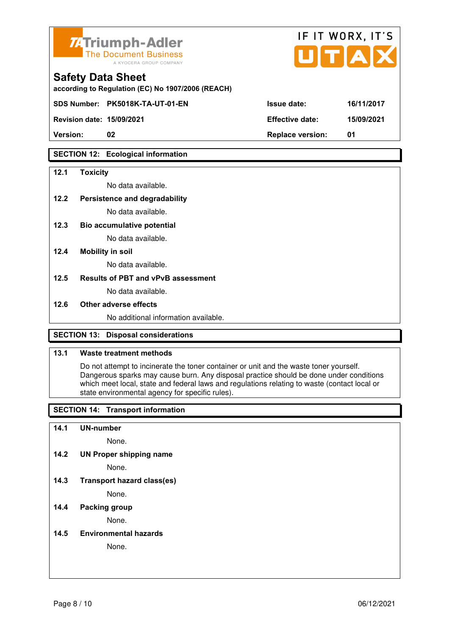

|                        | IF II WUKA, II 5 |
|------------------------|------------------|
|                        |                  |
| <b>Issue date:</b>     | 16/11/2017       |
| <b>Effective date:</b> | 15/09/2021       |
|                        | UTAX             |

 $FIT$   $MOR$ 

 $\overline{\phantom{a}}$ 

**Version: 02 Replace version: 01** 

## **SECTION 12: Ecological information**

## **12.1 Toxicity**

No data available.

#### **12.2 Persistence and degradability**

No data available.

**12.3 Bio accumulative potential** 

No data available.

#### **12.4 Mobility in soil**

No data available.

## **12.5 Results of PBT and vPvB assessment**

No data available.

#### **12.6 Other adverse effects**

No additional information available.

## **SECTION 13: Disposal considerations**

## **13.1 Waste treatment methods**

 Do not attempt to incinerate the toner container or unit and the waste toner yourself. Dangerous sparks may cause burn. Any disposal practice should be done under conditions which meet local, state and federal laws and regulations relating to waste (contact local or state environmental agency for specific rules).

## **SECTION 14: Transport information**

#### **14.1 UN-number**

None.

**14.2 UN Proper shipping name** 

None.

**14.3 Transport hazard class(es)** 

None.

## **14.4 Packing group**

None.

#### **14.5 Environmental hazards**

None.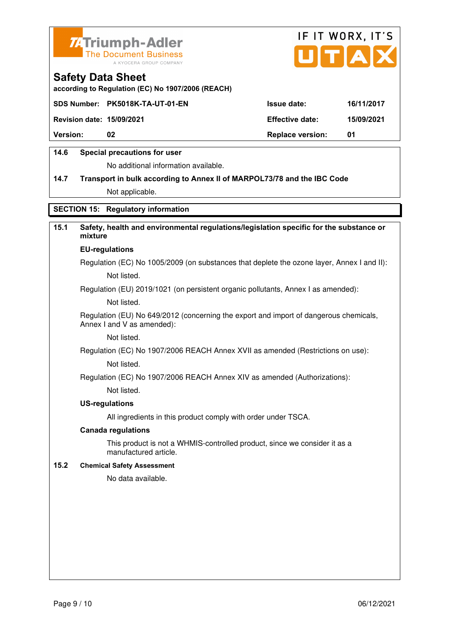



**according to Regulation (EC) No 1907/2006 (REACH)**

|                                  | SDS Number: PK5018K-TA-UT-01-EN | <b>Issue date:</b>      | 16/11/2017 |
|----------------------------------|---------------------------------|-------------------------|------------|
| <b>Revision date: 15/09/2021</b> |                                 | <b>Effective date:</b>  | 15/09/2021 |
| <b>Version:</b>                  | 02                              | <b>Replace version:</b> | -01        |
|                                  |                                 |                         |            |

## **14.6 Special precautions for user**

No additional information available.

# **14.7 Transport in bulk according to Annex II of MARPOL73/78 and the IBC Code** Not applicable.

## **SECTION 15: Regulatory information**

## **15.1 Safety, health and environmental regulations/legislation specific for the substance or mixture**

#### **EU-regulations**

Regulation (EC) No 1005/2009 (on substances that deplete the ozone layer, Annex I and II): Not listed.

Regulation (EU) 2019/1021 (on persistent organic pollutants, Annex I as amended):

Not listed.

 Regulation (EU) No 649/2012 (concerning the export and import of dangerous chemicals, Annex I and V as amended):

Not listed.

 Regulation (EC) No 1907/2006 REACH Annex XVII as amended (Restrictions on use): Not listed.

Regulation (EC) No 1907/2006 REACH Annex XIV as amended (Authorizations):

Not listed.

#### **US-regulations**

All ingredients in this product comply with order under TSCA.

#### **Canada regulations**

 This product is not a WHMIS-controlled product, since we consider it as a manufactured article.

#### **15.2 Chemical Safety Assessment**

No data available.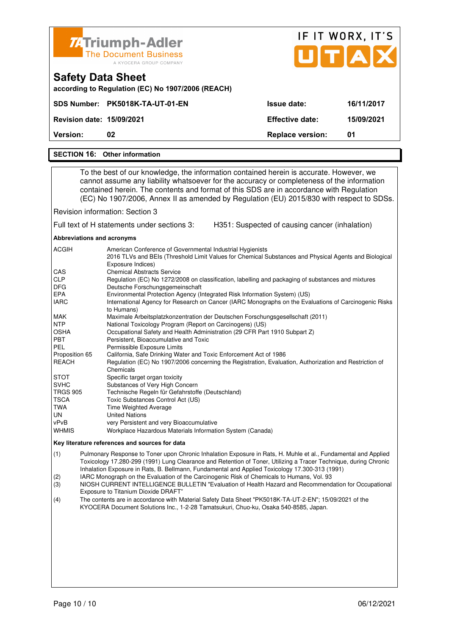| <b>74 Triumph-Adler</b>                                                                                                                                                                                                                                                                                                                                                      | <b>The Document Business</b><br>A KYOCERA GROUP COMPANY |                         | IF IT WORX, IT'S<br>UTAX |  |
|------------------------------------------------------------------------------------------------------------------------------------------------------------------------------------------------------------------------------------------------------------------------------------------------------------------------------------------------------------------------------|---------------------------------------------------------|-------------------------|--------------------------|--|
| <b>Safety Data Sheet</b>                                                                                                                                                                                                                                                                                                                                                     | according to Regulation (EC) No 1907/2006 (REACH)       |                         |                          |  |
| SDS Number: PK5018K-TA-UT-01-EN                                                                                                                                                                                                                                                                                                                                              |                                                         | <b>Issue date:</b>      | 16/11/2017               |  |
| <b>Revision date: 15/09/2021</b>                                                                                                                                                                                                                                                                                                                                             |                                                         | <b>Effective date:</b>  | 15/09/2021               |  |
| <b>Version:</b><br>02                                                                                                                                                                                                                                                                                                                                                        |                                                         | <b>Replace version:</b> | 01                       |  |
| <b>SECTION 16: Other information</b>                                                                                                                                                                                                                                                                                                                                         |                                                         |                         |                          |  |
| To the best of our knowledge, the information contained herein is accurate. However, we<br>cannot assume any liability whatsoever for the accuracy or completeness of the information<br>contained herein. The contents and format of this SDS are in accordance with Regulation<br>(EC) No 1907/2006, Annex II as amended by Regulation (EU) 2015/830 with respect to SDSs. |                                                         |                         |                          |  |

Revision information: Section 3

Full text of H statements under sections 3: H351: Suspected of causing cancer (inhalation)

**Abbreviations and acronyms** 

| American Conference of Governmental Industrial Hygienists                                                                  |
|----------------------------------------------------------------------------------------------------------------------------|
| 2016 TLVs and BEIs (Threshold Limit Values for Chemical Substances and Physical Agents and Biological<br>Exposure Indices) |
| <b>Chemical Abstracts Service</b>                                                                                          |
| Regulation (EC) No 1272/2008 on classification, labelling and packaging of substances and mixtures                         |
| Deutsche Forschungsgemeinschaft                                                                                            |
| Environmental Protection Agency (Integrated Risk Information System) (US)                                                  |
| International Agency for Research on Cancer (IARC Monographs on the Evaluations of Carcinogenic Risks                      |
| to Humans)                                                                                                                 |
| Maximale Arbeitsplatzkonzentration der Deutschen Forschungsgesellschaft (2011)                                             |
| National Toxicology Program (Report on Carcinogens) (US)                                                                   |
| Occupational Safety and Health Administration (29 CFR Part 1910 Subpart Z)                                                 |
| Persistent, Bioaccumulative and Toxic                                                                                      |
| Permissible Exposure Limits                                                                                                |
| California, Safe Drinking Water and Toxic Enforcement Act of 1986                                                          |
| Regulation (EC) No 1907/2006 concerning the Registration, Evaluation, Authorization and Restriction of                     |
| Chemicals                                                                                                                  |
| Specific target organ toxicity                                                                                             |
| Substances of Very High Concern                                                                                            |
| Technische Regeln für Gefahrstoffe (Deutschland)                                                                           |
| Toxic Substances Control Act (US)                                                                                          |
| <b>Time Weighted Average</b>                                                                                               |
| <b>United Nations</b>                                                                                                      |
| very Persistent and very Bioaccumulative                                                                                   |
| Workplace Hazardous Materials Information System (Canada)                                                                  |
|                                                                                                                            |

#### **Key literature references and sources for data**

(1) Pulmonary Response to Toner upon Chronic Inhalation Exposure in Rats, H. Muhle et al., Fundamental and Applied Toxicology 17.280-299 (1991) Lung Clearance and Retention of Toner, Utilizing a Tracer Technique, during Chronic Inhalation Exposure in Rats, B. Bellmann, Fundamental and Applied Toxicology 17.300-313 (1991)

(2) IARC Monograph on the Evaluation of the Carcinogenic Risk of Chemicals to Humans, Vol. 93<br>(3) NIOSH CURRENT INTELLIGENCE BULLETIN "Evaluation of Health Hazard and Recommend

(3) NIOSH CURRENT INTELLIGENCE BULLETIN "Evaluation of Health Hazard and Recommendation for Occupational Exposure to Titanium Dioxide DRAFT"

(4) The contents are in accordance with Material Safety Data Sheet "PK5018K-TA-UT-2-EN"; 15/09/2021 of the KYOCERA Document Solutions Inc., 1-2-28 Tamatsukuri, Chuo-ku, Osaka 540-8585, Japan.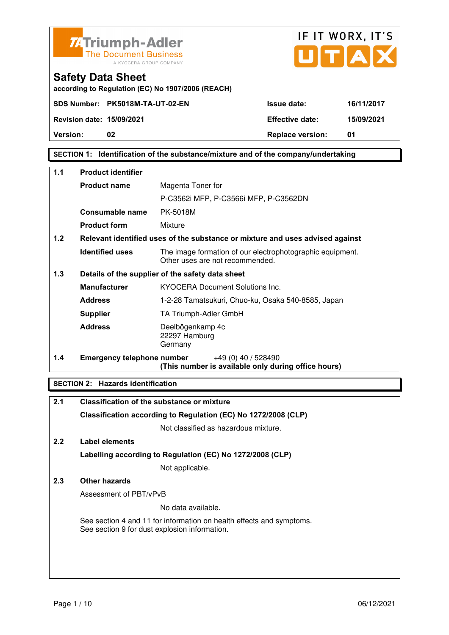



**according to Regulation (EC) No 1907/2006 (REACH)**

**Version:** 02 **Details** 02 **Replace version: 01** 

## **SECTION 1: Identification of the substance/mixture and of the company/undertaking**

| $1.1$ | <b>Product identifier</b>                                                     |                                                                                              |  |
|-------|-------------------------------------------------------------------------------|----------------------------------------------------------------------------------------------|--|
|       | <b>Product name</b>                                                           | Magenta Toner for                                                                            |  |
|       |                                                                               | P-C3562i MFP, P-C3566i MFP, P-C3562DN                                                        |  |
|       | Consumable name                                                               | PK-5018M                                                                                     |  |
|       | <b>Product form</b>                                                           | Mixture                                                                                      |  |
| 1.2   | Relevant identified uses of the substance or mixture and uses advised against |                                                                                              |  |
|       | <b>Identified uses</b>                                                        | The image formation of our electrophotographic equipment.<br>Other uses are not recommended. |  |
| 1.3   |                                                                               | Details of the supplier of the safety data sheet                                             |  |
|       | <b>Manufacturer</b>                                                           | <b>KYOCERA Document Solutions Inc.</b>                                                       |  |
|       | <b>Address</b>                                                                | 1-2-28 Tamatsukuri, Chuo-ku, Osaka 540-8585, Japan                                           |  |
|       | <b>Supplier</b>                                                               | TA Triumph-Adler GmbH                                                                        |  |
|       | <b>Address</b>                                                                | Deelbögenkamp 4c<br>22297 Hamburg<br>Germany                                                 |  |
| 1.4   | <b>Emergency telephone number</b>                                             | +49 (0) 40 / 528490<br>(This number is available only during office hours)                   |  |

## **SECTION 2: Hazards identification**

| 2.1 | <b>Classification of the substance or mixture</b>                                                                     |
|-----|-----------------------------------------------------------------------------------------------------------------------|
|     | Classification according to Regulation (EC) No 1272/2008 (CLP)                                                        |
|     | Not classified as hazardous mixture.                                                                                  |
| 2.2 | Label elements                                                                                                        |
|     | Labelling according to Regulation (EC) No 1272/2008 (CLP)                                                             |
|     | Not applicable.                                                                                                       |
| 2.3 | Other hazards                                                                                                         |
|     | Assessment of PBT/vPvB                                                                                                |
|     | No data available.                                                                                                    |
|     | See section 4 and 11 for information on health effects and symptoms.<br>See section 9 for dust explosion information. |
|     |                                                                                                                       |
|     |                                                                                                                       |
|     |                                                                                                                       |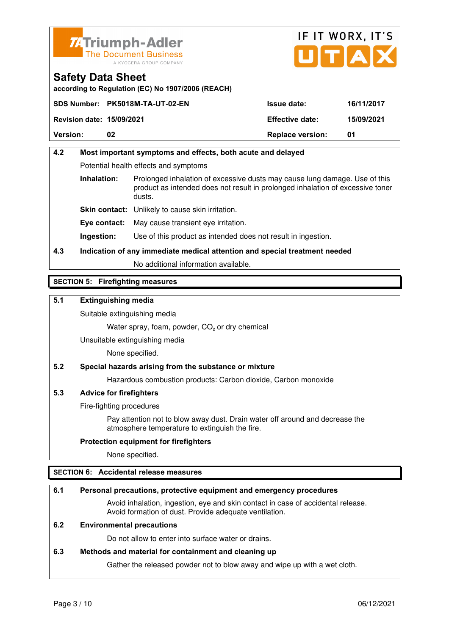



**according to Regulation (EC) No 1907/2006 (REACH)**

|                                  | SDS Number: PK5018M-TA-UT-02-EN | <b>Issue date:</b>      | 16/11/2017 |
|----------------------------------|---------------------------------|-------------------------|------------|
| <b>Revision date: 15/09/2021</b> |                                 | <b>Effective date:</b>  | 15/09/2021 |
| <b>Version:</b>                  | 02                              | <b>Replace version:</b> | 01         |

# **4.2 Most important symptoms and effects, both acute and delayed**  Potential health effects and symptoms **Inhalation:** Prolonged inhalation of excessive dusts may cause lung damage. Use of this product as intended does not result in prolonged inhalation of excessive toner dusts. **Skin contact:** Unlikely to cause skin irritation. **Eye contact:** May cause transient eye irritation.

**Ingestion:** Use of this product as intended does not result in ingestion.

# **4.3 Indication of any immediate medical attention and special treatment needed**

No additional information available.

## **SECTION 5: Firefighting measures**

## **5.1 Extinguishing media**

Suitable extinguishing media

Water spray, foam, powder,  $CO<sub>2</sub>$  or dry chemical

Unsuitable extinguishing media

None specified.

## **5.2 Special hazards arising from the substance or mixture**

Hazardous combustion products: Carbon dioxide, Carbon monoxide

## **5.3 Advice for firefighters**

Fire-fighting procedures

 Pay attention not to blow away dust. Drain water off around and decrease the atmosphere temperature to extinguish the fire.

## **Protection equipment for firefighters**

None specified.

## **SECTION 6: Accidental release measures**

## **6.1 Personal precautions, protective equipment and emergency procedures**

 Avoid inhalation, ingestion, eye and skin contact in case of accidental release. Avoid formation of dust. Provide adequate ventilation.

## **6.2 Environmental precautions**

Do not allow to enter into surface water or drains.

## **6.3 Methods and material for containment and cleaning up**

Gather the released powder not to blow away and wipe up with a wet cloth.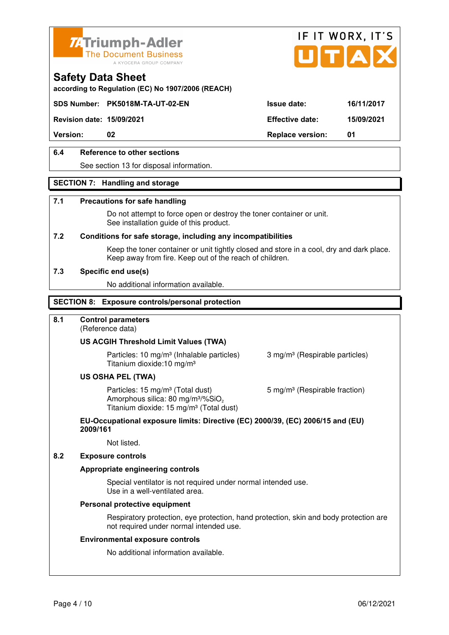



# **according to Regulation (EC) No 1907/2006 (REACH)**

**Revision date: 15/09/2021 Effective date: 15/09/2021** 

**Safety Data Sheet** 

**Version:** 02 **Replace version:** 01

## **6.4 Reference to other sections**

See section 13 for disposal information.

## **SECTION 7: Handling and storage**

#### **7.1 Precautions for safe handling**

 Do not attempt to force open or destroy the toner container or unit. See installation guide of this product.

#### **7.2 Conditions for safe storage, including any incompatibilities**

Keep the toner container or unit tightly closed and store in a cool, dry and dark place. Keep away from fire. Keep out of the reach of children.

#### **7.3 Specific end use(s)**

No additional information available.

#### **SECTION 8: Exposure controls/personal protection**

## **8.1 Control parameters**

(Reference data)

#### **US ACGIH Threshold Limit Values (TWA)**

**Particles: 10 mg/m<sup>3</sup> (Inhalable particles) 3 mg/m<sup>3</sup> (Respirable particles)** Titanium dioxide:10 mg/m³

#### **US OSHA PEL (TWA)**

Particles: 15 mg/m<sup>3</sup> (Total dust) 5 mg/m<sup>3</sup> (Respirable fraction) Amorphous silica:  $80 \text{ mg/m}^3/\% \text{SiO}_2$ Titanium dioxide: 15 mg/m<sup>3</sup> (Total dust)

#### **EU-Occupational exposure limits: Directive (EC) 2000/39, (EC) 2006/15 and (EU) 2009/161**

Not listed.

#### **8.2 Exposure controls**

#### **Appropriate engineering controls**

 Special ventilator is not required under normal intended use. Use in a well-ventilated area.

#### **Personal protective equipment**

 Respiratory protection, eye protection, hand protection, skin and body protection are not required under normal intended use.

#### **Environmental exposure controls**

No additional information available.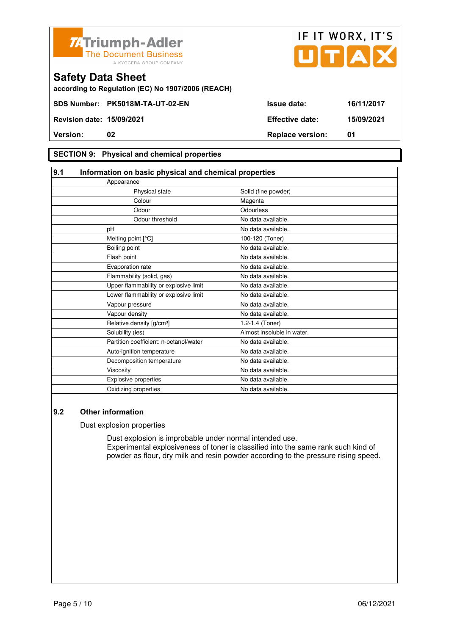



**according to Regulation (EC) No 1907/2006 (REACH)**

## **SECTION 9: Physical and chemical properties**

| 9.1<br>Information on basic physical and chemical properties |                            |  |
|--------------------------------------------------------------|----------------------------|--|
| Appearance                                                   |                            |  |
| Physical state                                               | Solid (fine powder)        |  |
| Colour                                                       | Magenta                    |  |
| Odour                                                        | Odourless                  |  |
| Odour threshold                                              | No data available.         |  |
| pH                                                           | No data available.         |  |
| Melting point [°C]                                           | 100-120 (Toner)            |  |
| Boiling point                                                | No data available.         |  |
| Flash point                                                  | No data available.         |  |
| Evaporation rate                                             | No data available.         |  |
| Flammability (solid, gas)                                    | No data available.         |  |
| Upper flammability or explosive limit                        | No data available.         |  |
| Lower flammability or explosive limit                        | No data available.         |  |
| Vapour pressure                                              | No data available.         |  |
| Vapour density                                               | No data available.         |  |
| Relative density [g/cm <sup>3</sup> ]                        | 1.2-1.4 (Toner)            |  |
| Solubility (ies)                                             | Almost insoluble in water. |  |
| Partition coefficient: n-octanol/water                       | No data available.         |  |
| Auto-ignition temperature                                    | No data available.         |  |
| Decomposition temperature                                    | No data available.         |  |
| Viscosity                                                    | No data available.         |  |
| Explosive properties                                         | No data available.         |  |
| Oxidizing properties                                         | No data available.         |  |

## **9.2 Other information**

Dust explosion properties

 Dust explosion is improbable under normal intended use. Experimental explosiveness of toner is classified into the same rank such kind of powder as flour, dry milk and resin powder according to the pressure rising speed.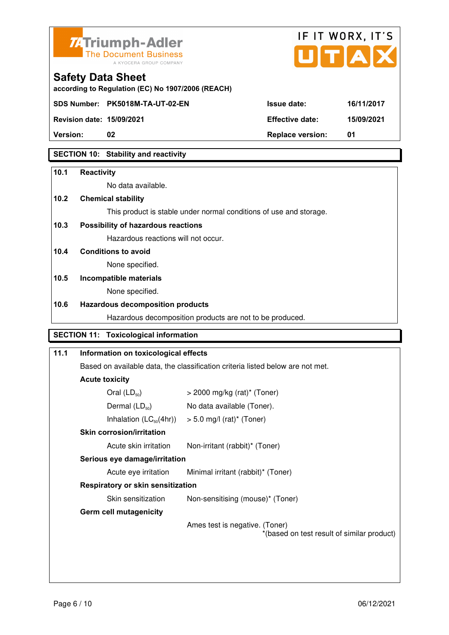



**Version:** 02 **Replace version:** 01

## **SECTION 10: Stability and reactivity**

## **10.1 Reactivity**

No data available.

## **10.2 Chemical stability**

This product is stable under normal conditions of use and storage.

## **10.3 Possibility of hazardous reactions**

Hazardous reactions will not occur.

## **10.4 Conditions to avoid**

None specified.

#### **10.5 Incompatible materials**

None specified.

#### **10.6 Hazardous decomposition products**

Hazardous decomposition products are not to be produced.

# **SECTION 11: Toxicological information**

| 11.1 | Information on toxicological effects                                                                    |                                                                              |  |
|------|---------------------------------------------------------------------------------------------------------|------------------------------------------------------------------------------|--|
|      | Based on available data, the classification criteria listed below are not met.<br><b>Acute toxicity</b> |                                                                              |  |
|      |                                                                                                         |                                                                              |  |
|      | Oral $(LD_{50})$                                                                                        | $>$ 2000 mg/kg (rat)* (Toner)                                                |  |
|      | Dermal $(LD_{50})$                                                                                      | No data available (Toner).                                                   |  |
|      |                                                                                                         | Inhalation $(LC_{50}(4hr))$ > 5.0 mg/l (rat) <sup>*</sup> (Toner)            |  |
|      | <b>Skin corrosion/irritation</b>                                                                        |                                                                              |  |
|      | Acute skin irritation                                                                                   | Non-irritant (rabbit)* (Toner)                                               |  |
|      | Serious eye damage/irritation                                                                           |                                                                              |  |
|      | Acute eye irritation                                                                                    | Minimal irritant (rabbit)* (Toner)                                           |  |
|      | Respiratory or skin sensitization                                                                       |                                                                              |  |
|      | Skin sensitization                                                                                      | Non-sensitising (mouse)* (Toner)                                             |  |
|      | <b>Germ cell mutagenicity</b>                                                                           |                                                                              |  |
|      |                                                                                                         | Ames test is negative. (Toner)<br>*(based on test result of similar product) |  |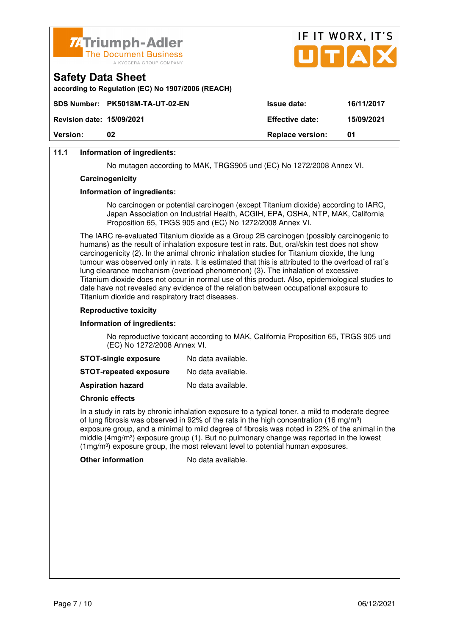



## **11.1 Information of ingredients:**

No mutagen according to MAK, TRGS905 und (EC) No 1272/2008 Annex VI.

#### **Carcinogenicity**

#### **Information of ingredients:**

 No carcinogen or potential carcinogen (except Titanium dioxide) according to IARC, Japan Association on Industrial Health, ACGIH, EPA, OSHA, NTP, MAK, California Proposition 65, TRGS 905 and (EC) No 1272/2008 Annex VI.

 The IARC re-evaluated Titanium dioxide as a Group 2B carcinogen (possibly carcinogenic to humans) as the result of inhalation exposure test in rats. But, oral/skin test does not show carcinogenicity (2). In the animal chronic inhalation studies for Titanium dioxide, the lung tumour was observed only in rats. It is estimated that this is attributed to the overload of rat´s lung clearance mechanism (overload phenomenon) (3). The inhalation of excessive Titanium dioxide does not occur in normal use of this product. Also, epidemiological studies to date have not revealed any evidence of the relation between occupational exposure to Titanium dioxide and respiratory tract diseases.

#### **Reproductive toxicity**

#### **Information of ingredients:**

 No reproductive toxicant according to MAK, California Proposition 65, TRGS 905 und (EC) No 1272/2008 Annex VI.

| <b>STOT-single exposure</b> | No data available. |
|-----------------------------|--------------------|
|-----------------------------|--------------------|

**STOT-repeated exposure** No data available.

**Aspiration hazard** No data available.

#### **Chronic effects**

 In a study in rats by chronic inhalation exposure to a typical toner, a mild to moderate degree of lung fibrosis was observed in 92% of the rats in the high concentration (16 mg/m<sup>3</sup>) exposure group, and a minimal to mild degree of fibrosis was noted in 22% of the animal in the middle  $(4mg/m<sup>3</sup>)$  exposure group (1). But no pulmonary change was reported in the lowest  $(1 \text{ma/m}^3)$  exposure group, the most relevant level to potential human exposures.

**Other information** No data available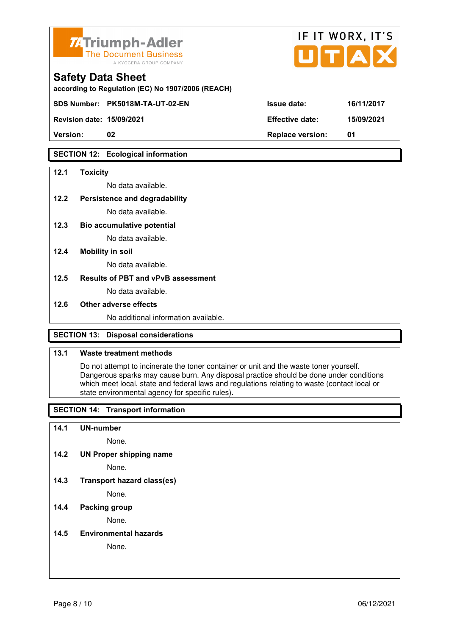

| <b>74 Triumph-Adler</b><br>The Document Business<br>A KYOCERA GROUP COMPANY   |                        | IF II WURA, II J<br>UTAX |
|-------------------------------------------------------------------------------|------------------------|--------------------------|
| <b>Safety Data Sheet</b><br>according to Regulation (EC) No 1907/2006 (REACH) |                        |                          |
| SDS Number: PK5018M-TA-UT-02-EN                                               | <b>Issue date:</b>     | 16/11/2017               |
| <b>Revision date: 15/09/2021</b>                                              | <b>Effective date:</b> | 15/09/2021               |

 $ITIT$  WODY  $IT'C$ 

**SECTION 12: Ecological information** 

#### **12.1 Toxicity**

No data available.

#### **12.2 Persistence and degradability**

No data available.

**12.3 Bio accumulative potential** 

No data available.

#### **12.4 Mobility in soil**

No data available.

## **12.5 Results of PBT and vPvB assessment**

No data available.

#### **12.6 Other adverse effects**

No additional information available.

**Version: 02 Replace version: 01** 

## **SECTION 13: Disposal considerations**

## **13.1 Waste treatment methods**

 Do not attempt to incinerate the toner container or unit and the waste toner yourself. Dangerous sparks may cause burn. Any disposal practice should be done under conditions which meet local, state and federal laws and regulations relating to waste (contact local or state environmental agency for specific rules).

## **SECTION 14: Transport information**

#### **14.1 UN-number**

None.

**14.2 UN Proper shipping name** 

None.

**14.3 Transport hazard class(es)** 

None.

## **14.4 Packing group**

None.

#### **14.5 Environmental hazards**

None.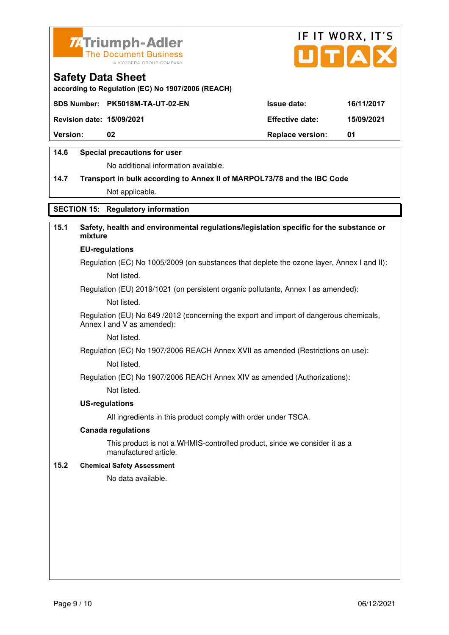



**according to Regulation (EC) No 1907/2006 (REACH)**

|                                  | SDS Number: PK5018M-TA-UT-02-EN | <b>Issue date:</b>      | 16/11/2017 |
|----------------------------------|---------------------------------|-------------------------|------------|
| <b>Revision date: 15/09/2021</b> |                                 | <b>Effective date:</b>  | 15/09/2021 |
| <b>Version:</b>                  | 02                              | <b>Replace version:</b> | 01         |
|                                  |                                 |                         |            |

## **14.6 Special precautions for user**

No additional information available.

# **14.7 Transport in bulk according to Annex II of MARPOL73/78 and the IBC Code** Not applicable.

## **SECTION 15: Regulatory information**

## **15.1 Safety, health and environmental regulations/legislation specific for the substance or mixture**

#### **EU-regulations**

Regulation (EC) No 1005/2009 (on substances that deplete the ozone layer, Annex I and II): Not listed.

Regulation (EU) 2019/1021 (on persistent organic pollutants, Annex I as amended):

Not listed.

 Regulation (EU) No 649 /2012 (concerning the export and import of dangerous chemicals, Annex I and V as amended):

Not listed.

 Regulation (EC) No 1907/2006 REACH Annex XVII as amended (Restrictions on use): Not listed.

Regulation (EC) No 1907/2006 REACH Annex XIV as amended (Authorizations):

Not listed.

#### **US-regulations**

All ingredients in this product comply with order under TSCA.

#### **Canada regulations**

 This product is not a WHMIS-controlled product, since we consider it as a manufactured article.

## **15.2 Chemical Safety Assessment**

No data available.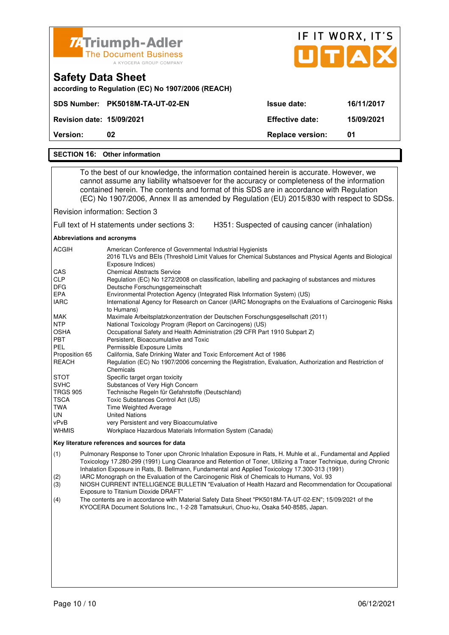| <b>74 Triumph-Adler</b><br><b>The Document Business</b><br>A KYOCERA GROUP COMPANY |                         | IF IT WORX, IT'S<br>UTAX |
|------------------------------------------------------------------------------------|-------------------------|--------------------------|
| <b>Safety Data Sheet</b><br>according to Regulation (EC) No 1907/2006 (REACH)      |                         |                          |
| <b>PK5018M-TA-UT-02-EN</b><br><b>SDS Number:</b>                                   | Issue date:             | 16/11/2017               |
| <b>Revision date: 15/09/2021</b>                                                   | <b>Effective date:</b>  | 15/09/2021               |
| Version:<br>02                                                                     | <b>Replace version:</b> | 01                       |
| <b>SECTION 16: Other information</b>                                               |                         |                          |
|                                                                                    |                         |                          |

 To the best of our knowledge, the information contained herein is accurate. However, we cannot assume any liability whatsoever for the accuracy or completeness of the information contained herein. The contents and format of this SDS are in accordance with Regulation (EC) No 1907/2006, Annex II as amended by Regulation (EU) 2015/830 with respect to SDSs.

Revision information: Section 3

Full text of H statements under sections 3: H351: Suspected of causing cancer (inhalation)

**Abbreviations and acronyms** 

| <b>ACGIH</b>    | American Conference of Governmental Industrial Hygienists<br>2016 TLVs and BEIs (Threshold Limit Values for Chemical Substances and Physical Agents and Biological |
|-----------------|--------------------------------------------------------------------------------------------------------------------------------------------------------------------|
|                 | Exposure Indices)                                                                                                                                                  |
| <b>CAS</b>      | <b>Chemical Abstracts Service</b>                                                                                                                                  |
| <b>CLP</b>      | Regulation (EC) No 1272/2008 on classification, labelling and packaging of substances and mixtures                                                                 |
| <b>DFG</b>      | Deutsche Forschungsgemeinschaft                                                                                                                                    |
| <b>EPA</b>      | Environmental Protection Agency (Integrated Risk Information System) (US)                                                                                          |
| <b>IARC</b>     | International Agency for Research on Cancer (IARC Monographs on the Evaluations of Carcinogenic Risks                                                              |
|                 | to Humans)                                                                                                                                                         |
| MAK             | Maximale Arbeitsplatzkonzentration der Deutschen Forschungsgesellschaft (2011)                                                                                     |
| <b>NTP</b>      | National Toxicology Program (Report on Carcinogens) (US)                                                                                                           |
| <b>OSHA</b>     | Occupational Safety and Health Administration (29 CFR Part 1910 Subpart Z)                                                                                         |
| <b>PBT</b>      | Persistent, Bioaccumulative and Toxic                                                                                                                              |
| <b>PEL</b>      | Permissible Exposure Limits                                                                                                                                        |
| Proposition 65  | California, Safe Drinking Water and Toxic Enforcement Act of 1986                                                                                                  |
| <b>REACH</b>    | Regulation (EC) No 1907/2006 concerning the Registration, Evaluation, Authorization and Restriction of                                                             |
|                 | Chemicals                                                                                                                                                          |
| <b>STOT</b>     | Specific target organ toxicity                                                                                                                                     |
| <b>SVHC</b>     | Substances of Very High Concern                                                                                                                                    |
| <b>TRGS 905</b> | Technische Regeln für Gefahrstoffe (Deutschland)                                                                                                                   |
| <b>TSCA</b>     | Toxic Substances Control Act (US)                                                                                                                                  |
| TWA             | <b>Time Weighted Average</b>                                                                                                                                       |
| UN.             | <b>United Nations</b>                                                                                                                                              |
| vPvB            | very Persistent and very Bioaccumulative                                                                                                                           |
| <b>WHMIS</b>    | Workplace Hazardous Materials Information System (Canada)                                                                                                          |

#### **Key literature references and sources for data**

(1) Pulmonary Response to Toner upon Chronic Inhalation Exposure in Rats, H. Muhle et al., Fundamental and Applied Toxicology 17.280-299 (1991) Lung Clearance and Retention of Toner, Utilizing a Tracer Technique, during Chronic Inhalation Exposure in Rats, B. Bellmann, Fundamental and Applied Toxicology 17.300-313 (1991)

(2) IARC Monograph on the Evaluation of the Carcinogenic Risk of Chemicals to Humans, Vol. 93

(3) NIOSH CURRENT INTELLIGENCE BULLETIN "Evaluation of Health Hazard and Recommendation for Occupational Exposure to Titanium Dioxide DRAFT"

(4) The contents are in accordance with Material Safety Data Sheet "PK5018M-TA-UT-02-EN"; 15/09/2021 of the KYOCERA Document Solutions Inc., 1-2-28 Tamatsukuri, Chuo-ku, Osaka 540-8585, Japan.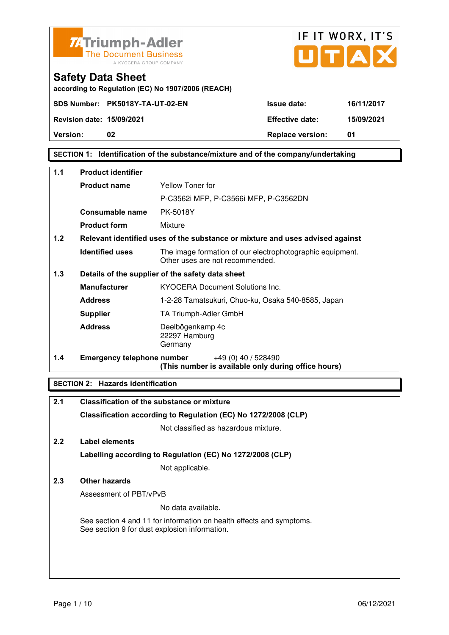



**Safety Data Sheet according to Regulation (EC) No 1907/2006 (REACH)**

**Version:** 02 **Details** 02 **Replace version: 01** 

## **SECTION 1: Identification of the substance/mixture and of the company/undertaking**

| 1.1 | <b>Product identifier</b>         |                                                                                              |  |
|-----|-----------------------------------|----------------------------------------------------------------------------------------------|--|
|     | <b>Product name</b>               | Yellow Toner for                                                                             |  |
|     |                                   | P-C3562i MFP, P-C3566i MFP, P-C3562DN                                                        |  |
|     | Consumable name                   | PK-5018Y                                                                                     |  |
|     | <b>Product form</b>               | Mixture                                                                                      |  |
| 1.2 |                                   | Relevant identified uses of the substance or mixture and uses advised against                |  |
|     | <b>Identified uses</b>            | The image formation of our electrophotographic equipment.<br>Other uses are not recommended. |  |
| 1.3 |                                   | Details of the supplier of the safety data sheet                                             |  |
|     | <b>Manufacturer</b>               | <b>KYOCERA Document Solutions Inc.</b>                                                       |  |
|     | <b>Address</b>                    | 1-2-28 Tamatsukuri, Chuo-ku, Osaka 540-8585, Japan                                           |  |
|     | <b>Supplier</b>                   | TA Triumph-Adler GmbH                                                                        |  |
|     | <b>Address</b>                    | Deelbögenkamp 4c<br>22297 Hamburg<br>Germany                                                 |  |
| 1.4 | <b>Emergency telephone number</b> | $+49(0)$ 40 / 528490<br>(This number is available only during office hours)                  |  |

## **SECTION 2: Hazards identification**

| 2.1 | <b>Classification of the substance or mixture</b>                                                                     |
|-----|-----------------------------------------------------------------------------------------------------------------------|
|     | Classification according to Regulation (EC) No 1272/2008 (CLP)                                                        |
|     | Not classified as hazardous mixture.                                                                                  |
| 2.2 | Label elements                                                                                                        |
|     | Labelling according to Regulation (EC) No 1272/2008 (CLP)                                                             |
|     | Not applicable.                                                                                                       |
| 2.3 | <b>Other hazards</b>                                                                                                  |
|     | Assessment of PBT/vPvB                                                                                                |
|     | No data available.                                                                                                    |
|     | See section 4 and 11 for information on health effects and symptoms.<br>See section 9 for dust explosion information. |
|     |                                                                                                                       |
|     |                                                                                                                       |
|     |                                                                                                                       |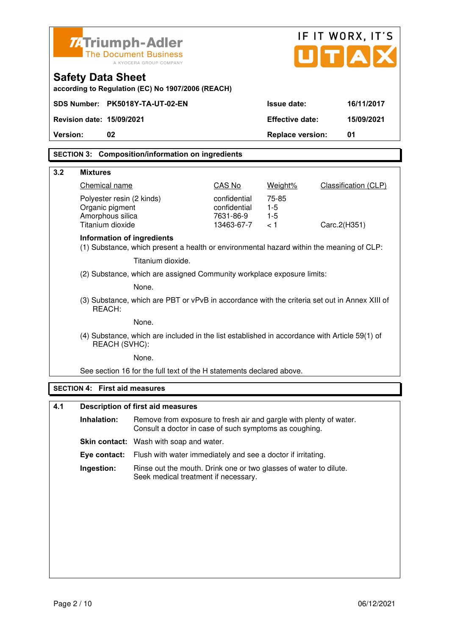|          | <b>ZATriumph-Adler</b>                                                                                         |                                                                                                                              |                           |                         | IF IT WORX, IT'S            |
|----------|----------------------------------------------------------------------------------------------------------------|------------------------------------------------------------------------------------------------------------------------------|---------------------------|-------------------------|-----------------------------|
|          |                                                                                                                | <b>The Document Business</b><br>A KYOCERA GROUP COMPANY                                                                      |                           |                         | U[T A]                      |
|          | <b>Safety Data Sheet</b>                                                                                       | according to Regulation (EC) No 1907/2006 (REACH)                                                                            |                           |                         |                             |
|          |                                                                                                                | SDS Number: PK5018Y-TA-UT-02-EN                                                                                              |                           | <b>Issue date:</b>      | 16/11/2017                  |
|          | <b>Revision date: 15/09/2021</b>                                                                               |                                                                                                                              |                           | <b>Effective date:</b>  | 15/09/2021                  |
| Version: | 02                                                                                                             |                                                                                                                              |                           | <b>Replace version:</b> | 01                          |
|          |                                                                                                                | <b>SECTION 3: Composition/information on ingredients</b>                                                                     |                           |                         |                             |
| 3.2      | <b>Mixtures</b>                                                                                                |                                                                                                                              |                           |                         |                             |
|          | Chemical name                                                                                                  |                                                                                                                              | CAS No                    | Weight%                 | <b>Classification (CLP)</b> |
|          | Polyester resin (2 kinds)                                                                                      |                                                                                                                              | confidential              | 75-85                   |                             |
|          | Organic pigment<br>Amorphous silica                                                                            |                                                                                                                              | confidential<br>7631-86-9 | $1-5$<br>$1-5$          |                             |
|          | Titanium dioxide                                                                                               |                                                                                                                              | 13463-67-7                | < 1                     | Carc.2(H351)                |
|          | Information of ingredients                                                                                     | (1) Substance, which present a health or environmental hazard within the meaning of CLP:                                     |                           |                         |                             |
|          |                                                                                                                | Titanium dioxide.                                                                                                            |                           |                         |                             |
|          |                                                                                                                | (2) Substance, which are assigned Community workplace exposure limits:                                                       |                           |                         |                             |
|          | None.                                                                                                          |                                                                                                                              |                           |                         |                             |
|          | (3) Substance, which are PBT or vPvB in accordance with the criteria set out in Annex XIII of<br>REACH:        |                                                                                                                              |                           |                         |                             |
|          | None.                                                                                                          |                                                                                                                              |                           |                         |                             |
|          | (4) Substance, which are included in the list established in accordance with Article 59(1) of<br>REACH (SVHC): |                                                                                                                              |                           |                         |                             |
|          |                                                                                                                | None.                                                                                                                        |                           |                         |                             |
|          |                                                                                                                | See section 16 for the full text of the H statements declared above.                                                         |                           |                         |                             |
|          | <b>SECTION 4: First aid measures</b>                                                                           |                                                                                                                              |                           |                         |                             |
| 4.1      |                                                                                                                | <b>Description of first aid measures</b>                                                                                     |                           |                         |                             |
|          | Inhalation:                                                                                                    | Remove from exposure to fresh air and gargle with plenty of water.<br>Consult a doctor in case of such symptoms as coughing. |                           |                         |                             |
|          |                                                                                                                | Skin contact: Wash with soap and water.                                                                                      |                           |                         |                             |
|          | Eye contact:                                                                                                   | Flush with water immediately and see a doctor if irritating.                                                                 |                           |                         |                             |
|          | Ingestion:                                                                                                     | Rinse out the mouth. Drink one or two glasses of water to dilute.<br>Seek medical treatment if necessary.                    |                           |                         |                             |
|          |                                                                                                                |                                                                                                                              |                           |                         |                             |
|          |                                                                                                                |                                                                                                                              |                           |                         |                             |
|          |                                                                                                                |                                                                                                                              |                           |                         |                             |
|          |                                                                                                                |                                                                                                                              |                           |                         |                             |
|          |                                                                                                                |                                                                                                                              |                           |                         |                             |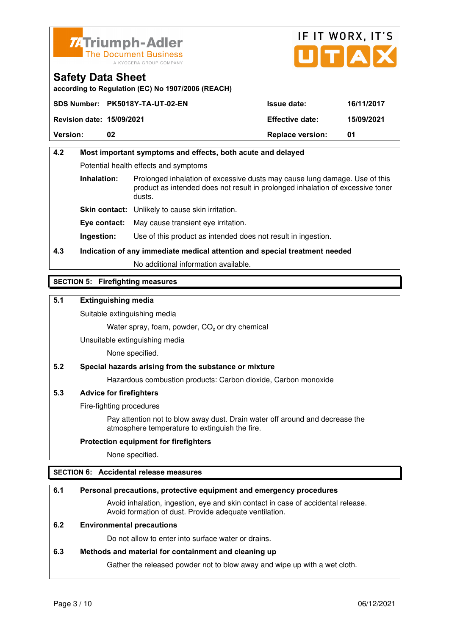



**according to Regulation (EC) No 1907/2006 (REACH)**

|                                  | SDS Number: PK5018Y-TA-UT-02-EN | <b>Issue date:</b>      | 16/11/2017 |
|----------------------------------|---------------------------------|-------------------------|------------|
| <b>Revision date: 15/09/2021</b> |                                 | <b>Effective date:</b>  | 15/09/2021 |
| <b>Version:</b>                  | 02                              | <b>Replace version:</b> | 01         |

# **4.2 Most important symptoms and effects, both acute and delayed**  Potential health effects and symptoms **Inhalation:** Prolonged inhalation of excessive dusts may cause lung damage. Use of this product as intended does not result in prolonged inhalation of excessive toner dusts. **Skin contact:** Unlikely to cause skin irritation. **Eye contact:** May cause transient eye irritation.

**Ingestion:** Use of this product as intended does not result in ingestion.

# **4.3 Indication of any immediate medical attention and special treatment needed**

No additional information available.

## **SECTION 5: Firefighting measures**

## **5.1 Extinguishing media**

Suitable extinguishing media

Water spray, foam, powder,  $CO<sub>2</sub>$  or dry chemical

Unsuitable extinguishing media

None specified.

## **5.2 Special hazards arising from the substance or mixture**

Hazardous combustion products: Carbon dioxide, Carbon monoxide

## **5.3 Advice for firefighters**

Fire-fighting procedures

 Pay attention not to blow away dust. Drain water off around and decrease the atmosphere temperature to extinguish the fire.

## **Protection equipment for firefighters**

None specified.

## **SECTION 6: Accidental release measures**

## **6.1 Personal precautions, protective equipment and emergency procedures**

 Avoid inhalation, ingestion, eye and skin contact in case of accidental release. Avoid formation of dust. Provide adequate ventilation.

## **6.2 Environmental precautions**

Do not allow to enter into surface water or drains.

## **6.3 Methods and material for containment and cleaning up**

Gather the released powder not to blow away and wipe up with a wet cloth.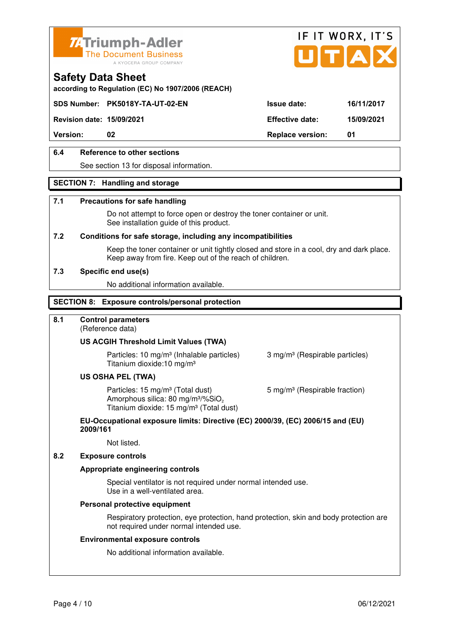



**according to Regulation (EC) No 1907/2006 (REACH)**

## **SDS Number: PK5018Y-TA-UT-02-EN Issue date: 16/11/2017**

**Revision date: 15/09/2021 Effective date: 15/09/2021** 

**Version:** 02 **Replace version:** 01

## **6.4 Reference to other sections**

See section 13 for disposal information.

## **SECTION 7: Handling and storage**

#### **7.1 Precautions for safe handling**

 Do not attempt to force open or destroy the toner container or unit. See installation guide of this product.

#### **7.2 Conditions for safe storage, including any incompatibilities**

Keep the toner container or unit tightly closed and store in a cool, dry and dark place. Keep away from fire. Keep out of the reach of children.

#### **7.3 Specific end use(s)**

No additional information available.

#### **SECTION 8: Exposure controls/personal protection**

## **8.1 Control parameters**

(Reference data)

#### **US ACGIH Threshold Limit Values (TWA)**

**Particles: 10 mg/m<sup>3</sup> (Inhalable particles) 3 mg/m<sup>3</sup> (Respirable particles)** Titanium dioxide:10 mg/m³

#### **US OSHA PEL (TWA)**

Particles: 15 mg/m<sup>3</sup> (Total dust) 5 mg/m<sup>3</sup> (Respirable fraction) Amorphous silica:  $80 \text{ mg/m}^3/\% \text{SiO}_2$ Titanium dioxide: 15 mg/m<sup>3</sup> (Total dust)

#### **EU-Occupational exposure limits: Directive (EC) 2000/39, (EC) 2006/15 and (EU) 2009/161**

Not listed.

#### **8.2 Exposure controls**

#### **Appropriate engineering controls**

 Special ventilator is not required under normal intended use. Use in a well-ventilated area.

#### **Personal protective equipment**

 Respiratory protection, eye protection, hand protection, skin and body protection are not required under normal intended use.

#### **Environmental exposure controls**

No additional information available.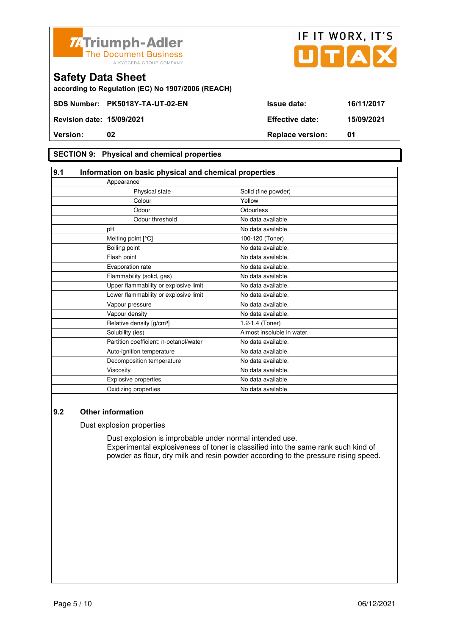



## **SECTION 9: Physical and chemical properties**

| 9.1           | Information on basic physical and chemical properties |                            |  |
|---------------|-------------------------------------------------------|----------------------------|--|
| Appearance    |                                                       |                            |  |
|               | Physical state                                        | Solid (fine powder)        |  |
|               | Colour                                                | Yellow                     |  |
|               | Odour                                                 | Odourless                  |  |
|               | Odour threshold                                       | No data available.         |  |
| pH            |                                                       | No data available.         |  |
|               | Melting point [°C]                                    | 100-120 (Toner)            |  |
| Boiling point |                                                       | No data available.         |  |
| Flash point   |                                                       | No data available.         |  |
|               | Evaporation rate                                      | No data available.         |  |
|               | Flammability (solid, gas)                             | No data available.         |  |
|               | Upper flammability or explosive limit                 | No data available.         |  |
|               | Lower flammability or explosive limit                 | No data available.         |  |
|               | Vapour pressure                                       | No data available.         |  |
|               | Vapour density                                        | No data available.         |  |
|               | Relative density [g/cm <sup>3</sup> ]                 | 1.2-1.4 (Toner)            |  |
|               | Solubility (ies)                                      | Almost insoluble in water. |  |
|               | Partition coefficient: n-octanol/water                | No data available.         |  |
|               | Auto-ignition temperature                             | No data available.         |  |
|               | Decomposition temperature                             | No data available.         |  |
| Viscosity     |                                                       | No data available.         |  |
|               | <b>Explosive properties</b>                           | No data available.         |  |
|               | Oxidizing properties                                  | No data available.         |  |

## **9.2 Other information**

Dust explosion properties

 Dust explosion is improbable under normal intended use. Experimental explosiveness of toner is classified into the same rank such kind of powder as flour, dry milk and resin powder according to the pressure rising speed.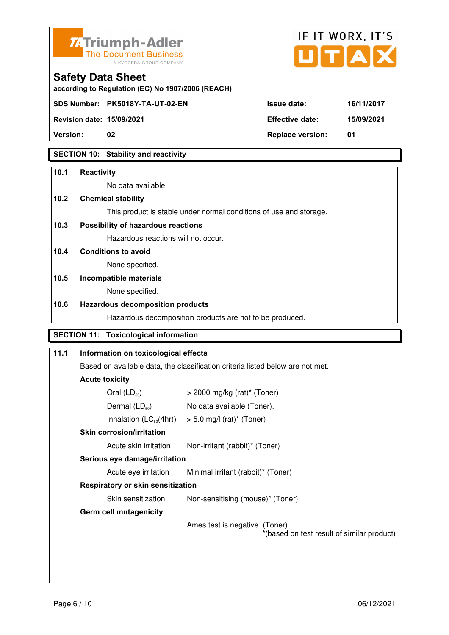



**Revision date: 15/09/2021 Effective date: 15/09/2021** 

**Safety Data Sheet** 

**Version:** 02 **Replace version:** 01

## **SECTION 10: Stability and reactivity**

#### **10.1 Reactivity**

No data available.

## **10.2 Chemical stability**

This product is stable under normal conditions of use and storage.

## **10.3 Possibility of hazardous reactions**

Hazardous reactions will not occur.

## **10.4 Conditions to avoid**

None specified.

#### **10.5 Incompatible materials**

None specified.

#### **10.6 Hazardous decomposition products**

Hazardous decomposition products are not to be produced.

# **SECTION 11: Toxicological information**

| 11.1 | Information on toxicological effects                                           |                                                                              |  |
|------|--------------------------------------------------------------------------------|------------------------------------------------------------------------------|--|
|      | Based on available data, the classification criteria listed below are not met. |                                                                              |  |
|      | <b>Acute toxicity</b>                                                          |                                                                              |  |
|      | Oral $(LD_{50})$                                                               | $>$ 2000 mg/kg (rat)* (Toner)                                                |  |
|      | Dermal $(LD_{50})$                                                             | No data available (Toner).                                                   |  |
|      |                                                                                | Inhalation $(LC_{50}(4hr))$ > 5.0 mg/l (rat) <sup>*</sup> (Toner)            |  |
|      | <b>Skin corrosion/irritation</b>                                               |                                                                              |  |
|      | Acute skin irritation                                                          | Non-irritant (rabbit)* (Toner)                                               |  |
|      | Serious eye damage/irritation                                                  |                                                                              |  |
|      | Acute eye irritation                                                           | Minimal irritant (rabbit)* (Toner)                                           |  |
|      | Respiratory or skin sensitization                                              |                                                                              |  |
|      | Skin sensitization                                                             | Non-sensitising (mouse)* (Toner)                                             |  |
|      | <b>Germ cell mutagenicity</b>                                                  |                                                                              |  |
|      |                                                                                | Ames test is negative. (Toner)<br>*(based on test result of similar product) |  |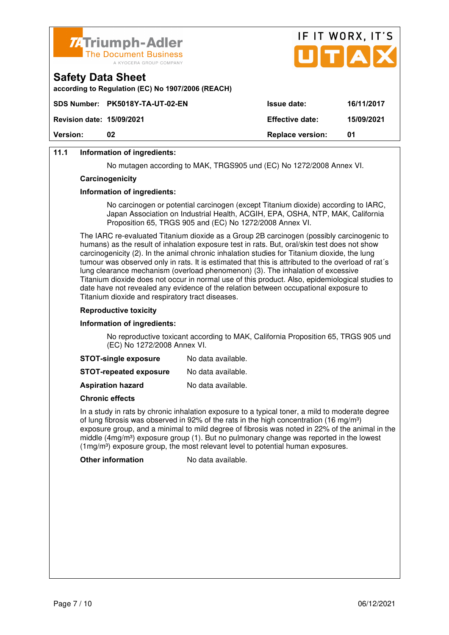

| <b>Version:</b>                  | 02                                                                          | <b>Replace version:</b> | 01         |
|----------------------------------|-----------------------------------------------------------------------------|-------------------------|------------|
| <b>Revision date: 15/09/2021</b> |                                                                             | <b>Effective date:</b>  | 15/09/2021 |
|                                  | SDS Number: PK5018Y-TA-UT-02-EN                                             | <b>Issue date:</b>      | 16/11/2017 |
| <b>Safety Data Sheet</b>         | according to Regulation (EC) No 1907/2006 (REACH)                           |                         |            |
|                                  | <b>74 Triumph-Adler</b><br>The Document Business<br>A KYOCERA GROUP COMPANY |                         | UTAX       |

IF IT WORX, IT'S

## **11.1 Information of ingredients:**

No mutagen according to MAK, TRGS905 und (EC) No 1272/2008 Annex VI.

#### **Carcinogenicity**

#### **Information of ingredients:**

 No carcinogen or potential carcinogen (except Titanium dioxide) according to IARC, Japan Association on Industrial Health, ACGIH, EPA, OSHA, NTP, MAK, California Proposition 65, TRGS 905 and (EC) No 1272/2008 Annex VI.

 The IARC re-evaluated Titanium dioxide as a Group 2B carcinogen (possibly carcinogenic to humans) as the result of inhalation exposure test in rats. But, oral/skin test does not show carcinogenicity (2). In the animal chronic inhalation studies for Titanium dioxide, the lung tumour was observed only in rats. It is estimated that this is attributed to the overload of rat´s lung clearance mechanism (overload phenomenon) (3). The inhalation of excessive Titanium dioxide does not occur in normal use of this product. Also, epidemiological studies to date have not revealed any evidence of the relation between occupational exposure to Titanium dioxide and respiratory tract diseases.

#### **Reproductive toxicity**

#### **Information of ingredients:**

 No reproductive toxicant according to MAK, California Proposition 65, TRGS 905 und (EC) No 1272/2008 Annex VI.

| <b>STOT-single exposure</b> | No data available. |
|-----------------------------|--------------------|
|-----------------------------|--------------------|

**STOT-repeated exposure** No data available.

**Aspiration hazard** No data available.

#### **Chronic effects**

 In a study in rats by chronic inhalation exposure to a typical toner, a mild to moderate degree of lung fibrosis was observed in 92% of the rats in the high concentration (16 mg/m<sup>3</sup>) exposure group, and a minimal to mild degree of fibrosis was noted in 22% of the animal in the middle  $(4mg/m<sup>3</sup>)$  exposure group (1). But no pulmonary change was reported in the lowest  $(1ma/m<sup>3</sup>)$  exposure group, the most relevant level to potential human exposures.

**Other information** No data available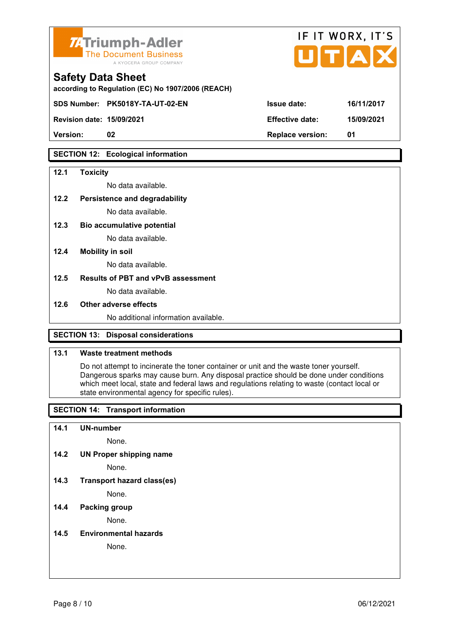

| <b>74 Triumph-Adler</b><br>The Document Business<br>A KYOCERA GROUP COMPANY   |                        | IF II WURX, II S<br>UTAX |  |
|-------------------------------------------------------------------------------|------------------------|--------------------------|--|
| <b>Safety Data Sheet</b><br>according to Regulation (EC) No 1907/2006 (REACH) |                        |                          |  |
| SDS Number: PK5018Y-TA-UT-02-EN                                               | <b>Issue date:</b>     | 16/11/2017               |  |
| <b>Revision date: 15/09/2021</b>                                              | <b>Effective date:</b> | 15/09/2021               |  |

 $FIT$   $MOR$ 

 $\overline{\phantom{a}}$ 

**Version: 02 Replace version: 01** 

## **SECTION 12: Ecological information**

#### **12.1 Toxicity**

No data available.

#### **12.2 Persistence and degradability**

No data available.

**12.3 Bio accumulative potential** 

No data available.

#### **12.4 Mobility in soil**

No data available.

## **12.5 Results of PBT and vPvB assessment**

No data available.

#### **12.6 Other adverse effects**

No additional information available.

## **SECTION 13: Disposal considerations**

## **13.1 Waste treatment methods**

 Do not attempt to incinerate the toner container or unit and the waste toner yourself. Dangerous sparks may cause burn. Any disposal practice should be done under conditions which meet local, state and federal laws and regulations relating to waste (contact local or state environmental agency for specific rules).

## **SECTION 14: Transport information**

#### **14.1 UN-number**

None.

**14.2 UN Proper shipping name** 

None.

**14.3 Transport hazard class(es)** 

None.

## **14.4 Packing group**

None.

#### **14.5 Environmental hazards**

None.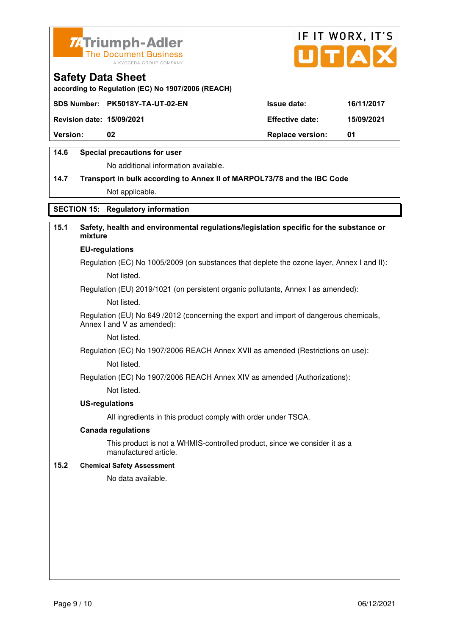



**according to Regulation (EC) No 1907/2006 (REACH)**

|                                  | SDS Number: PK5018Y-TA-UT-02-EN | <b>Issue date:</b>      | 16/11/2017 |
|----------------------------------|---------------------------------|-------------------------|------------|
| <b>Revision date: 15/09/2021</b> |                                 | <b>Effective date:</b>  | 15/09/2021 |
| <b>Version:</b>                  | 02                              | <b>Replace version:</b> | -01        |
|                                  |                                 |                         |            |

## **14.6 Special precautions for user**

No additional information available.

# **14.7 Transport in bulk according to Annex II of MARPOL73/78 and the IBC Code** Not applicable.

## **SECTION 15: Regulatory information**

## **15.1 Safety, health and environmental regulations/legislation specific for the substance or mixture**

#### **EU-regulations**

Regulation (EC) No 1005/2009 (on substances that deplete the ozone layer, Annex I and II): Not listed.

Regulation (EU) 2019/1021 (on persistent organic pollutants, Annex I as amended):

Not listed.

 Regulation (EU) No 649 /2012 (concerning the export and import of dangerous chemicals, Annex I and V as amended):

Not listed.

 Regulation (EC) No 1907/2006 REACH Annex XVII as amended (Restrictions on use): Not listed.

Regulation (EC) No 1907/2006 REACH Annex XIV as amended (Authorizations):

Not listed.

#### **US-regulations**

All ingredients in this product comply with order under TSCA.

#### **Canada regulations**

 This product is not a WHMIS-controlled product, since we consider it as a manufactured article.

## **15.2 Chemical Safety Assessment**

No data available.